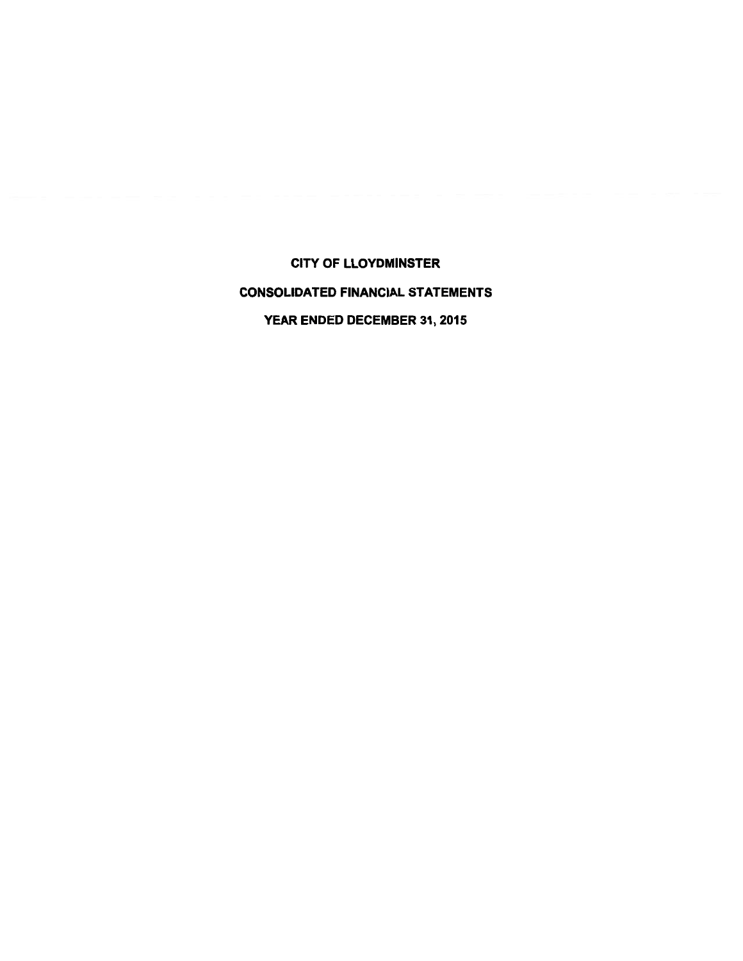**CITY OF LLOYDMINSTER CONSOLIDATED FINANCIAL STATEMENTS** YEAR ENDED DECEMBER 31, 2015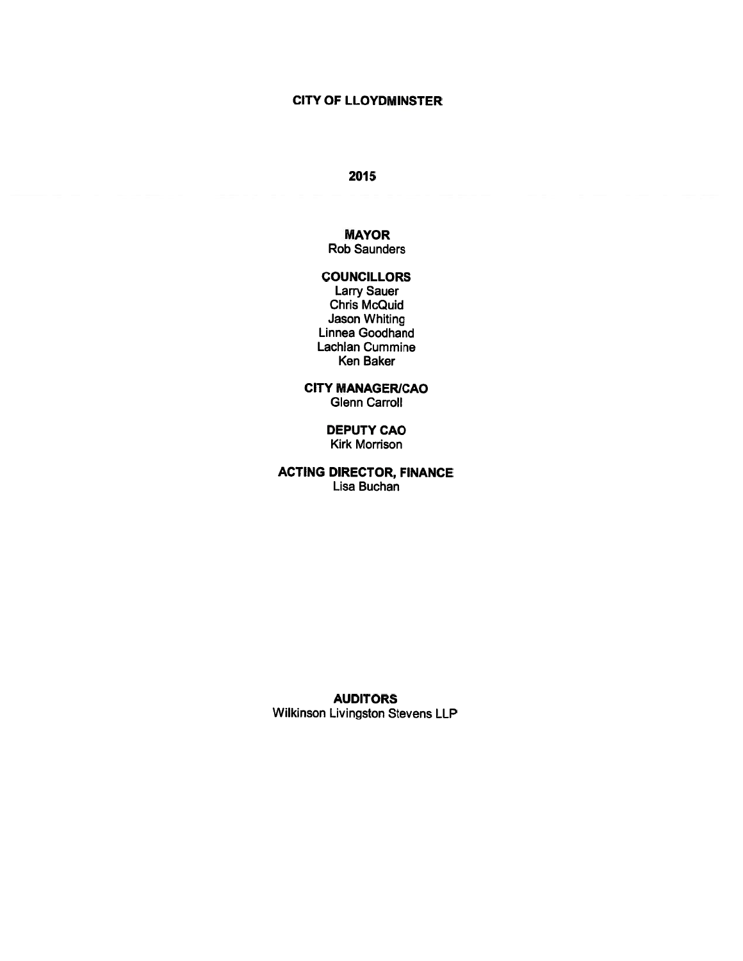### 2015

### **MAYOR**

**Rob Saunders** 

### **COUNCILLORS**

**Larry Sauer** Chris McQuid Jason Whiting Linnea Goodhand Lachlan Cummine Ken Baker

**CITY MANAGER/CAO Glenn Carroll** 

> **DEPUTY CAO Kirk Morrison**

**ACTING DIRECTOR, FINANCE** Lisa Buchan

**AUDITORS** Wilkinson Livingston Stevens LLP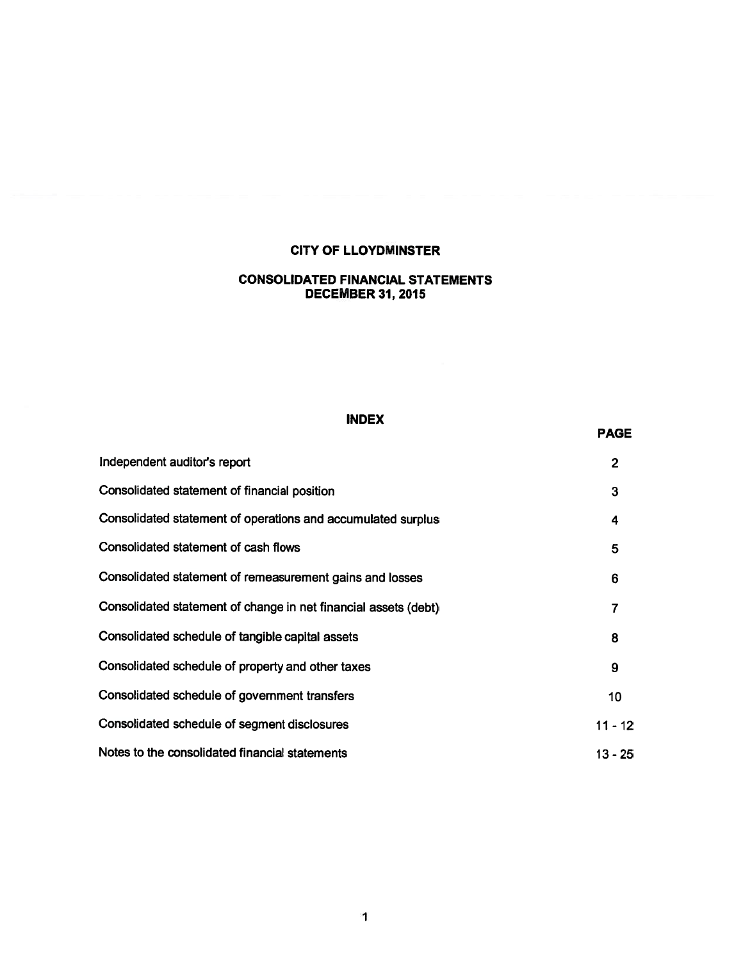### **CONSOLIDATED FINANCIAL STATEMENTS DECEMBER 31, 2015**

### **INDEX**

**PAGE** 

### Independent auditor's report  $2<sup>1</sup>$ Consolidated statement of financial position  $3<sup>1</sup>$ Consolidated statement of operations and accumulated surplus  $\overline{\mathbf{4}}$ Consolidated statement of cash flows  $5<sup>5</sup>$ Consolidated statement of remeasurement gains and losses 6 Consolidated statement of change in net financial assets (debt)  $\overline{7}$ Consolidated schedule of tangible capital assets 8 Consolidated schedule of property and other taxes  $9<sup>°</sup>$ Consolidated schedule of government transfers  $10<sub>1</sub>$ Consolidated schedule of segment disclosures  $11 - 12$ Notes to the consolidated financial statements  $13 - 25$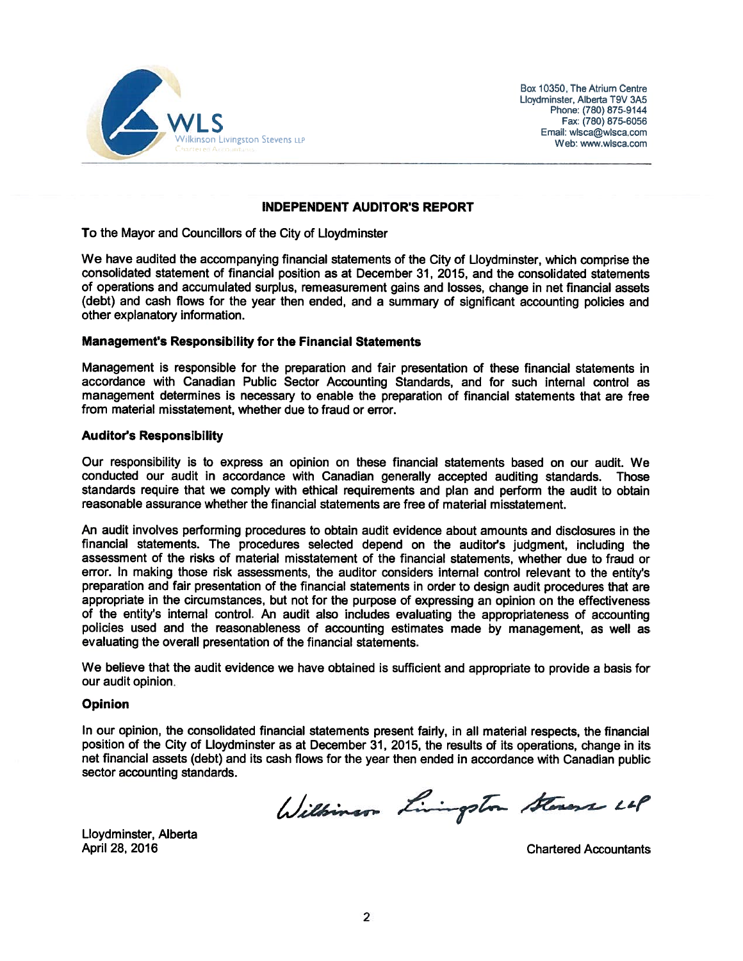

Box 10350, The Atrium Centre Lloydminster, Alberta T9V 3A5 Phone: (780) 875-9144 Fax: (780) 875-6056 Email: wlsca@wlsca.com Web: www.wisca.com

### **INDEPENDENT AUDITOR'S REPORT**

To the Mayor and Councillors of the City of Lloydminster

We have audited the accompanying financial statements of the City of Lloydminster, which comprise the consolidated statement of financial position as at December 31, 2015, and the consolidated statements of operations and accumulated surplus, remeasurement gains and losses, change in net financial assets (debt) and cash flows for the year then ended, and a summary of significant accounting policies and other explanatory information.

### Management's Responsibility for the Financial Statements

Management is responsible for the preparation and fair presentation of these financial statements in accordance with Canadian Public Sector Accounting Standards, and for such internal control as management determines is necessary to enable the preparation of financial statements that are free from material misstatement, whether due to fraud or error.

### **Auditor's Responsibility**

Our responsibility is to express an opinion on these financial statements based on our audit. We conducted our audit in accordance with Canadian generally accepted auditing standards. Those standards require that we comply with ethical requirements and plan and perform the audit to obtain reasonable assurance whether the financial statements are free of material misstatement.

An audit involves performing procedures to obtain audit evidence about amounts and disclosures in the financial statements. The procedures selected depend on the auditor's judgment, including the assessment of the risks of material misstatement of the financial statements, whether due to fraud or error. In making those risk assessments, the auditor considers internal control relevant to the entity's preparation and fair presentation of the financial statements in order to design audit procedures that are appropriate in the circumstances, but not for the purpose of expressing an opinion on the effectiveness of the entity's internal control. An audit also includes evaluating the appropriateness of accounting policies used and the reasonableness of accounting estimates made by management, as well as evaluating the overall presentation of the financial statements.

We believe that the audit evidence we have obtained is sufficient and appropriate to provide a basis for our audit opinion.

### **Opinion**

In our opinion, the consolidated financial statements present fairly, in all material respects, the financial position of the City of Lloydminster as at December 31, 2015, the results of its operations, change in its net financial assets (debt) and its cash flows for the year then ended in accordance with Canadian public sector accounting standards.

Williamson Livingston Stevens LOP

Lloydminster, Alberta April 28, 2016

**Chartered Accountants**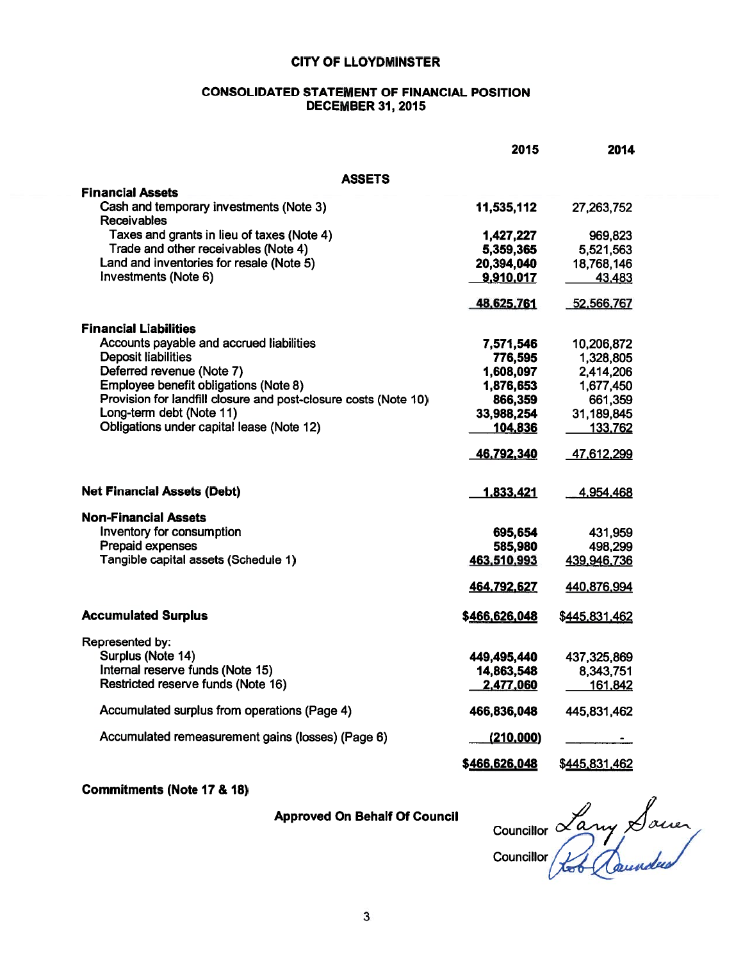### **CONSOLIDATED STATEMENT OF FINANCIAL POSITION DECEMBER 31, 2015**

|                                                                 | 2015          | 2014          |
|-----------------------------------------------------------------|---------------|---------------|
| ASSETS                                                          |               |               |
| <b>Financial Assets</b>                                         |               |               |
| Cash and temporary investments (Note 3)<br><b>Receivables</b>   | 11,535,112    | 27,263,752    |
| Taxes and grants in lieu of taxes (Note 4)                      | 1,427,227     | 969,823       |
| Trade and other receivables (Note 4)                            | 5,359,365     | 5,521,563     |
| Land and inventories for resale (Note 5)                        | 20,394,040    | 18,768,146    |
| Investments (Note 6)                                            | 9,910,017     | 43,483        |
|                                                                 | 48,625,761    | 52,566,767    |
| <b>Financial Liabilities</b>                                    |               |               |
| Accounts payable and accrued liabilities                        | 7,571,546     | 10,206,872    |
| <b>Deposit liabilities</b>                                      | 776,595       | 1,328,805     |
| Deferred revenue (Note 7)                                       | 1,608,097     | 2,414,206     |
| Employee benefit obligations (Note 8)                           | 1,876,653     | 1,677,450     |
| Provision for landfill closure and post-closure costs (Note 10) | 866,359       | 661,359       |
| Long-term debt (Note 11)                                        | 33,988,254    | 31,189,845    |
| Obligations under capital lease (Note 12)                       | 104,836       | 133,762       |
|                                                                 | 46,792,340    | 47,612,299    |
| <b>Net Financial Assets (Debt)</b>                              | 1,833,421     | 4,954,468     |
| <b>Non-Financial Assets</b>                                     |               |               |
| Inventory for consumption                                       | 695,654       | 431,959       |
| Prepaid expenses                                                | 585,980       | 498,299       |
| Tangible capital assets (Schedule 1)                            | 463,510,993   | 439,946,736   |
|                                                                 | 464,792,627   | 440,876,994   |
| <b>Accumulated Surplus</b>                                      | \$466,626,048 | \$445,831,462 |
| Represented by:                                                 |               |               |
| Surplus (Note 14)                                               | 449,495,440   | 437,325,869   |
| Internal reserve funds (Note 15)                                | 14,863,548    | 8,343,751     |
| Restricted reserve funds (Note 16)                              | 2,477,060     | 161.842       |
| Accumulated surplus from operations (Page 4)                    | 466,836,048   | 445,831,462   |
| Accumulated remeasurement gains (losses) (Page 6)               | (210,000)     |               |
|                                                                 | \$466,626,048 | \$445,831,462 |

### **Commitments (Note 17 & 18)**

**Approved On Behalf Of Council** 

councillor Lany Sauce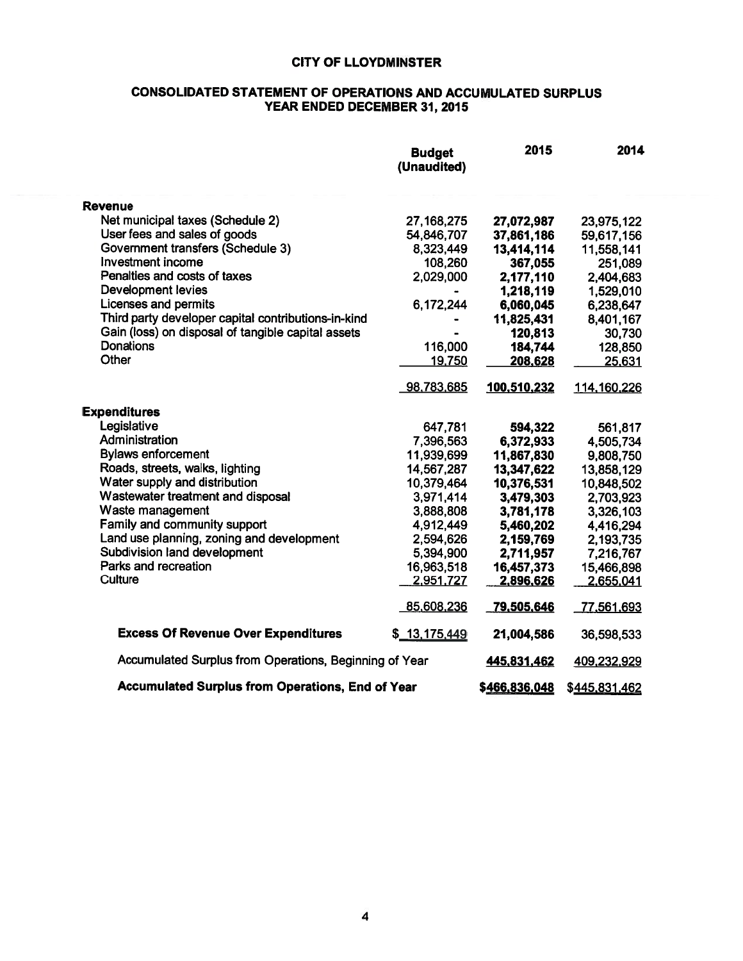### **CONSOLIDATED STATEMENT OF OPERATIONS AND ACCUMULATED SURPLUS** YEAR ENDED DECEMBER 31, 2015

|                                                         | <b>Budget</b><br>(Unaudited) | 2015          | 2014          |
|---------------------------------------------------------|------------------------------|---------------|---------------|
| <b>Revenue</b>                                          |                              |               |               |
| Net municipal taxes (Schedule 2)                        | 27, 168, 275                 | 27,072,987    | 23,975,122    |
| User fees and sales of goods                            | 54,846,707                   | 37,861,186    | 59,617,156    |
| Government transfers (Schedule 3)                       | 8,323,449                    | 13,414,114    | 11,558,141    |
| Investment income                                       | 108,260                      | 367,055       | 251,089       |
| Penalties and costs of taxes                            | 2,029,000                    | 2,177,110     | 2,404,683     |
| Development levies                                      |                              | 1,218,119     | 1,529,010     |
| Licenses and permits                                    | 6,172,244                    | 6,060,045     | 6,238,647     |
| Third party developer capital contributions-in-kind     |                              | 11,825,431    | 8,401,167     |
| Gain (loss) on disposal of tangible capital assets      |                              | 120,813       | 30,730        |
| <b>Donations</b>                                        | 116,000                      | 184,744       | 128,850       |
| Other                                                   | 19,750                       | 208,628       | 25,631        |
|                                                         | 98,783,685                   | 100,510,232   | 114,160,226   |
| <b>Expenditures</b>                                     |                              |               |               |
| Legislative                                             | 647,781                      | 594,322       | 561,817       |
| Administration                                          | 7,396,563                    | 6,372,933     | 4,505,734     |
| <b>Bylaws enforcement</b>                               | 11,939,699                   | 11,867,830    | 9,808,750     |
| Roads, streets, walks, lighting                         | 14,567,287                   | 13,347,622    | 13,858,129    |
| Water supply and distribution                           | 10,379,464                   | 10,376,531    | 10,848,502    |
| Wastewater treatment and disposal                       | 3,971,414                    | 3,479,303     | 2,703,923     |
| Waste management                                        | 3,888,808                    | 3,781,178     | 3,326,103     |
| Family and community support                            | 4,912,449                    | 5,460,202     | 4,416,294     |
| Land use planning, zoning and development               | 2,594,626                    | 2,159,769     | 2,193,735     |
| Subdivision land development                            | 5,394,900                    | 2,711,957     | 7,216,767     |
| Parks and recreation                                    | 16,963,518                   | 16,457,373    | 15,466,898    |
| Culture                                                 | 2,951,727                    | 2,896,626     | 2,655,041     |
|                                                         | 85,608,236                   | 79,505,646    | 77,561,693    |
| <b>Excess Of Revenue Over Expenditures</b>              | \$13,175,449                 | 21,004,586    | 36,598,533    |
| Accumulated Surplus from Operations, Beginning of Year  |                              | 445,831,462   | 409,232,929   |
| <b>Accumulated Surplus from Operations, End of Year</b> |                              | \$466,836,048 | \$445,831,462 |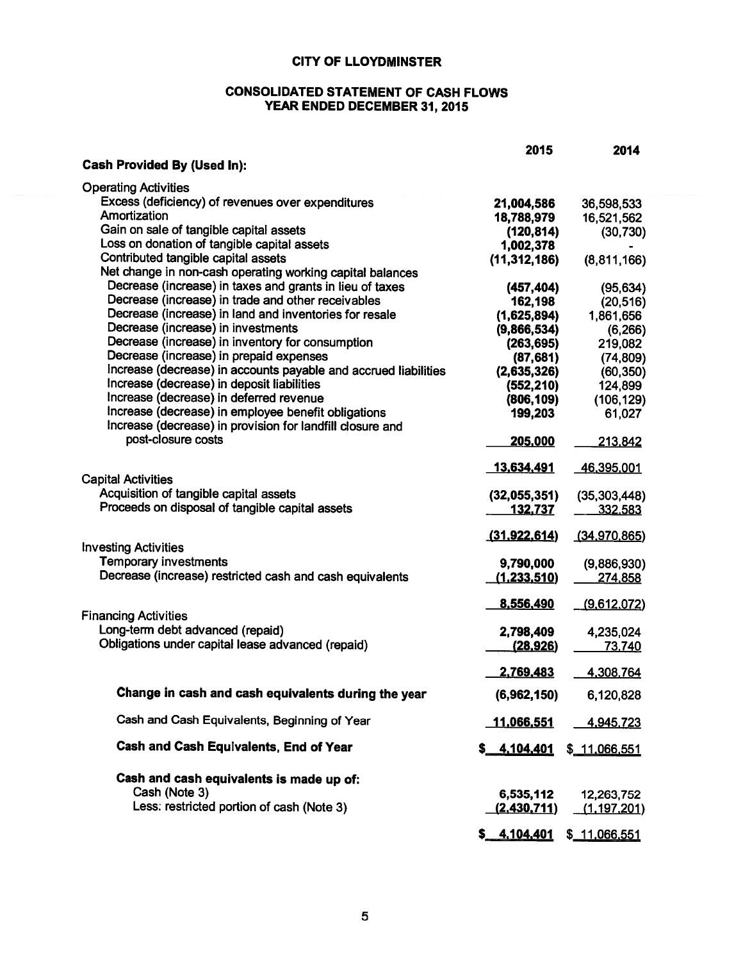### **CONSOLIDATED STATEMENT OF CASH FLOWS** YEAR ENDED DECEMBER 31, 2015

|                                                                 | 2015               | 2014              |
|-----------------------------------------------------------------|--------------------|-------------------|
| <b>Cash Provided By (Used In):</b>                              |                    |                   |
| <b>Operating Activities</b>                                     |                    |                   |
|                                                                 |                    |                   |
| Excess (deficiency) of revenues over expenditures               | 21,004,586         | 36,598,533        |
| Amortization                                                    | 18,788,979         | 16,521,562        |
| Gain on sale of tangible capital assets                         | (120, 814)         | (30, 730)         |
| Loss on donation of tangible capital assets                     | 1,002,378          |                   |
| Contributed tangible capital assets                             | (11, 312, 186)     | (8,811,166)       |
| Net change in non-cash operating working capital balances       |                    |                   |
| Decrease (increase) in taxes and grants in lieu of taxes        | (457, 404)         | (95, 634)         |
| Decrease (increase) in trade and other receivables              | 162,198            | (20, 516)         |
| Decrease (increase) in land and inventories for resale          | (1,625,894)        | 1,861,656         |
| Decrease (increase) in investments                              | (9,866,534)        | (6, 266)          |
| Decrease (increase) in inventory for consumption                | (263, 695)         | 219,082           |
| Decrease (increase) in prepaid expenses                         | (87, 681)          | (74, 809)         |
| Increase (decrease) in accounts payable and accrued liabilities | (2,635,326)        | (60, 350)         |
| Increase (decrease) in deposit liabilities                      | (552, 210)         | 124,899           |
| Increase (decrease) in deferred revenue                         | (806, 109)         | (106, 129)        |
| Increase (decrease) in employee benefit obligations             | 199,203            | 61,027            |
| Increase (decrease) in provision for landfill closure and       |                    |                   |
| post-closure costs                                              | 205,000            | 213,842           |
|                                                                 |                    |                   |
|                                                                 | 13,634,491         | <u>46,395,001</u> |
| <b>Capital Activities</b>                                       |                    |                   |
| Acquisition of tangible capital assets                          | (32,055,351)       | (35, 303, 448)    |
| Proceeds on disposal of tangible capital assets                 | <u>132.737</u>     | 332,583           |
|                                                                 |                    |                   |
|                                                                 | (31,922,614)       | (34.970.865)      |
| <b>Investing Activities</b>                                     |                    |                   |
| <b>Temporary investments</b>                                    | 9,790,000          | (9,886,930)       |
| Decrease (increase) restricted cash and cash equivalents        | <u>(1,233,510)</u> | 274,858           |
|                                                                 |                    |                   |
|                                                                 | 8,556,490          | (9,612,072)       |
| <b>Financing Activities</b>                                     |                    |                   |
| Long-term debt advanced (repaid)                                | 2,798,409          | 4,235,024         |
| Obligations under capital lease advanced (repaid)               | <u>(28,926)</u>    | 73,740            |
|                                                                 |                    |                   |
|                                                                 | 2,769,483          | 4,308,764         |
|                                                                 |                    |                   |
| Change in cash and cash equivalents during the year             | (6,962,150)        | 6,120,828         |
| Cash and Cash Equivalents, Beginning of Year                    |                    |                   |
|                                                                 | 11,066,551         | 4,945,723         |
| Cash and Cash Equivalents, End of Year                          | \$ 4,104,401       | \$_11.066,551     |
|                                                                 |                    |                   |
| Cash and cash equivalents is made up of:                        |                    |                   |
| Cash (Note 3)                                                   |                    |                   |
| Less: restricted portion of cash (Note 3)                       | 6,535,112          | 12,263,752        |
|                                                                 | (2,430,711)        | (1.197, 201)      |
|                                                                 | \$ 4,104,401       | \$_11,066,551     |
|                                                                 |                    |                   |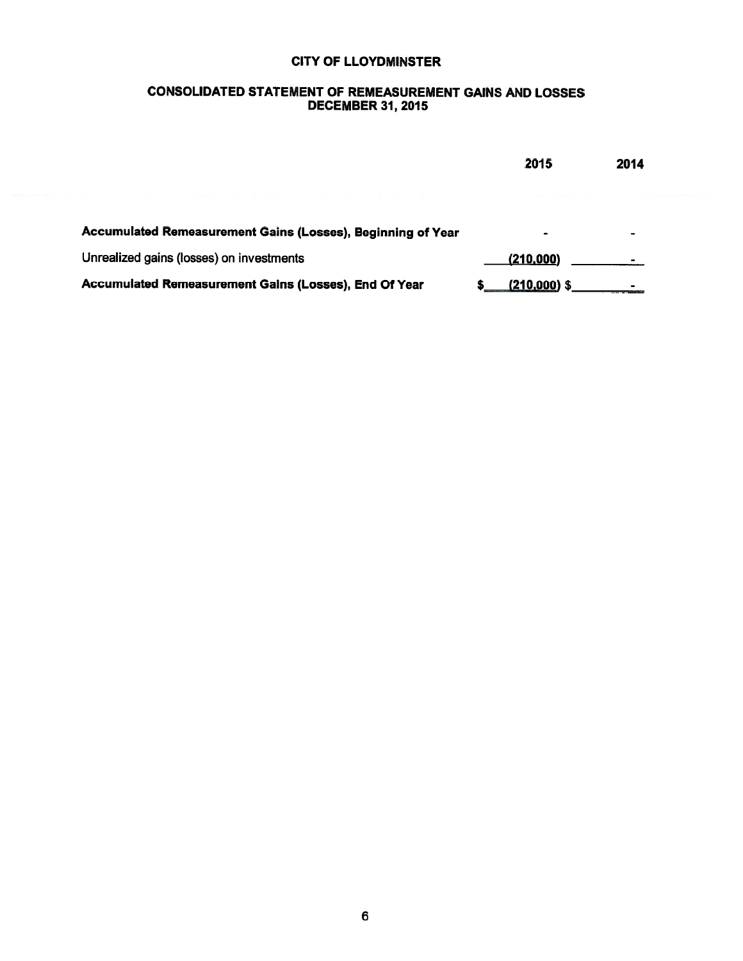### **CONSOLIDATED STATEMENT OF REMEASUREMENT GAINS AND LOSSES** DECEMBER 31, 2015

|                                                             | 2015           | 2014 |
|-------------------------------------------------------------|----------------|------|
|                                                             |                |      |
| Accumulated Remeasurement Gains (Losses), Beginning of Year | ۰              |      |
| Unrealized gains (losses) on investments                    | (210,000)      |      |
| Accumulated Remeasurement Gains (Losses), End Of Year       | $(210,000)$ \$ |      |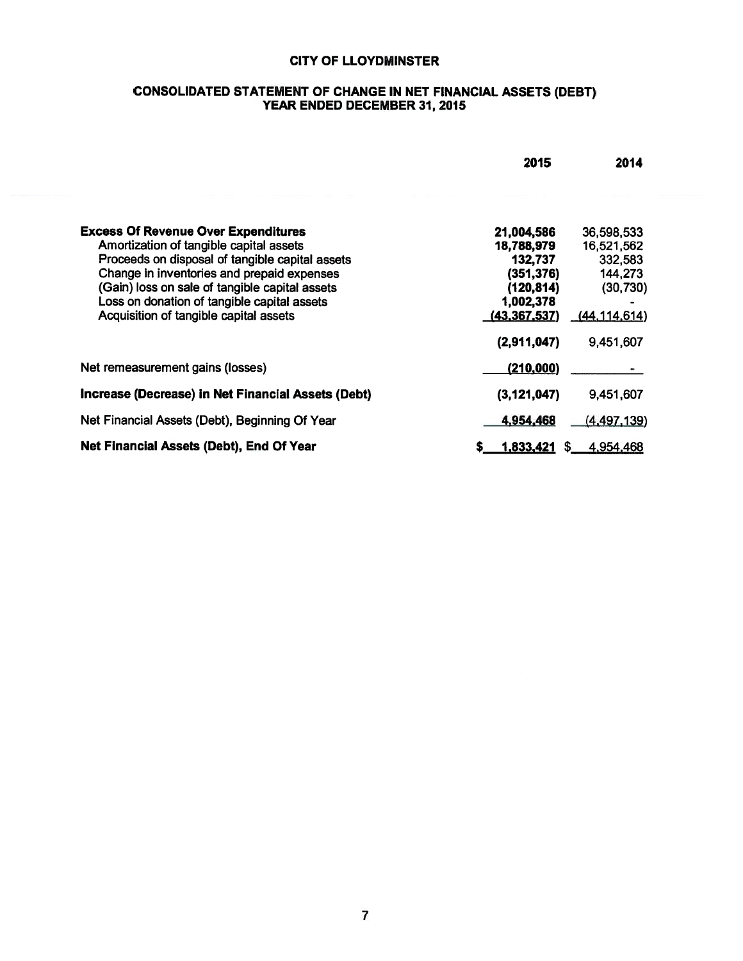### CONSOLIDATED STATEMENT OF CHANGE IN NET FINANCIAL ASSETS (DEBT)<br>YEAR ENDED DECEMBER 31, 2015

|                                                    | 2015           | 2014            |
|----------------------------------------------------|----------------|-----------------|
|                                                    |                |                 |
| <b>Excess Of Revenue Over Expenditures</b>         | 21,004,586     | 36,598,533      |
| Amortization of tangible capital assets            | 18,788,979     | 16,521,562      |
| Proceeds on disposal of tangible capital assets    | 132,737        | 332,583         |
| Change in inventories and prepaid expenses         | (351, 376)     | 144,273         |
| (Gain) loss on sale of tangible capital assets     | (120, 814)     | (30, 730)       |
| Loss on donation of tangible capital assets        | 1,002,378      |                 |
| Acquisition of tangible capital assets             | (43, 367, 537) | (44, 114, 614)  |
|                                                    | (2,911,047)    | 9,451,607       |
| Net remeasurement gains (losses)                   | (210,000)      |                 |
| Increase (Decrease) in Net Financial Assets (Debt) | (3, 121, 047)  | 9,451,607       |
| Net Financial Assets (Debt), Beginning Of Year     | 4,954,468      | (4, 497, 139)   |
| Net Financial Assets (Debt), End Of Year           | 1,833,421<br>s | 4,954,468<br>-5 |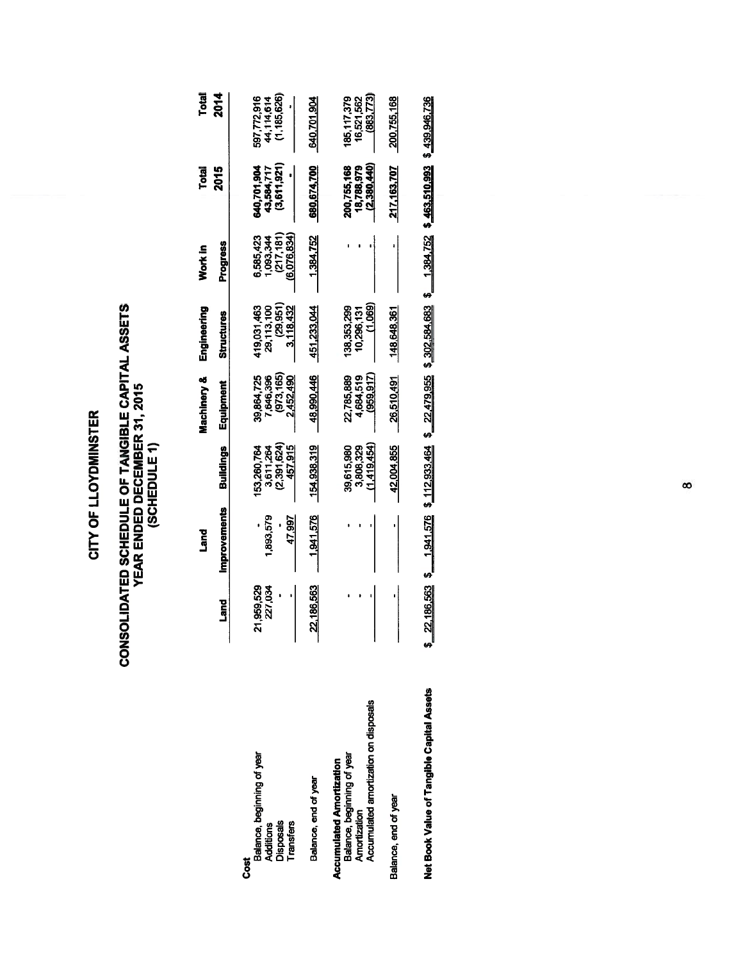# CONSOLIDATED SCHEDULE OF TANGIBLE CAPITAL ASSETS<br>YEAR ENDED DECEMBER 31, 2015<br>(SCHEDULE 1)

|                                                                                                                        |                       | Land                |                                                   | Machinery &                                       | Engineering                                                                                     | Work in                                             | Total                                    | Total                                    |
|------------------------------------------------------------------------------------------------------------------------|-----------------------|---------------------|---------------------------------------------------|---------------------------------------------------|-------------------------------------------------------------------------------------------------|-----------------------------------------------------|------------------------------------------|------------------------------------------|
|                                                                                                                        | <u>nang</u>           | <b>Improvements</b> | <b>Buildings</b>                                  | Equipment                                         | <b>Structures</b>                                                                               | Progress                                            | 2015                                     | <b>2014</b>                              |
| Balance, beginning of year<br><b>Disposals</b><br>Transfers<br>Additions<br>50<br>00                                   | 21,959,529<br>227,034 | 1.893.579<br>47.997 | (2,391,624)<br>3,611,264<br>457,915<br>53,260,764 | (973,165)<br>39,864,725<br>7,646,396<br>2,452,490 | (29.951)<br>419.031.463<br>29,113,100<br>3.118.432                                              | 6.585.423<br>(217, 181)<br>(6,076,834)<br>1,093,344 | (3,611,921)<br>640,701,904<br>43,584,717 | (1,185,626)<br>597,772,916<br>44,114,614 |
| Balance, end of year                                                                                                   | 22,186,563            | $-1,941,576$        | 154,938,319                                       | 48,990,446                                        | 451,233,044                                                                                     | 1,384,752                                           | 680,674,700                              | 640.701.904                              |
| Accumulated amortization on disposals<br>Balance, beginning of year<br><b>Accumulated Amortization</b><br>Amortization |                       |                     | (1.419.454)<br>39,615,980<br>3,808,329            | (959.917)<br>22.785.889<br>4,684,519              | (1.069)<br>138,353,299<br>10,296,131                                                            |                                                     | (2,380,440)<br>200,755,168<br>18,788,979 | 185.117.379<br>(883,773)<br>16,521,562   |
| Balance, end of year                                                                                                   |                       |                     | 42,004,855                                        | 26,510,491                                        | 148,648,361                                                                                     |                                                     | 217,163,707                              | 200,755,168                              |
| Net Book Value of Tangible Capital Assets                                                                              |                       |                     |                                                   |                                                   | 22,186,563 \$ 1,941,576 \$ 112,933,464 \$ 22,479,955 \$ 302,584,683 \$ 1,384,752 \$ 463,510,993 |                                                     |                                          | \$439,946,736                            |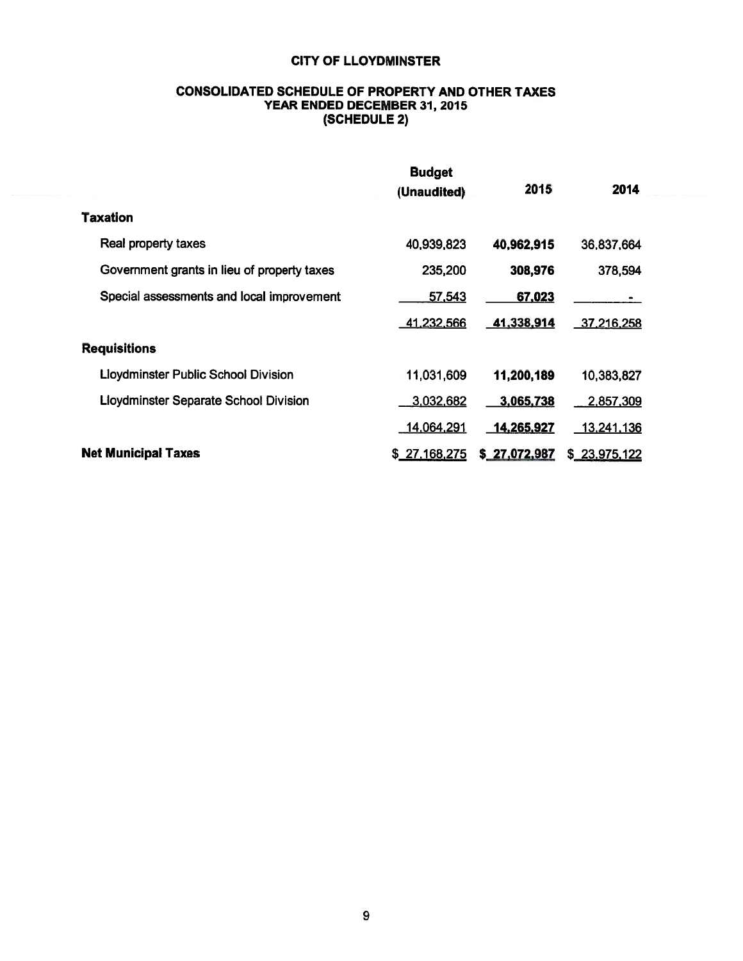### **CONSOLIDATED SCHEDULE OF PROPERTY AND OTHER TAXES** YEAR ENDED DECEMBER 31, 2015 (SCHEDULE 2)

|                                              | <b>Budget</b><br>(Unaudited) | 2015         | 2014              |  |
|----------------------------------------------|------------------------------|--------------|-------------------|--|
| <b>Taxation</b>                              |                              |              |                   |  |
| Real property taxes                          | 40,939,823                   | 40,962,915   | 36,837,664        |  |
| Government grants in lieu of property taxes  | 235,200                      | 308,976      | 378,594           |  |
| Special assessments and local improvement    | 57,543                       | 67,023       |                   |  |
|                                              | 41,232,566                   | 41,338,914   | <u>37,216,258</u> |  |
| <b>Requisitions</b>                          |                              |              |                   |  |
| <b>Lloydminster Public School Division</b>   | 11,031,609                   | 11,200,189   | 10,383,827        |  |
| <b>Lloydminster Separate School Division</b> | 3,032,682                    | 3,065,738    | 2,857,309         |  |
|                                              | 14,064,291                   | 14,265,927   | 13,241,136        |  |
| <b>Net Municipal Taxes</b>                   | \$27,168,275                 | \$27,072,987 | \$23,975,122      |  |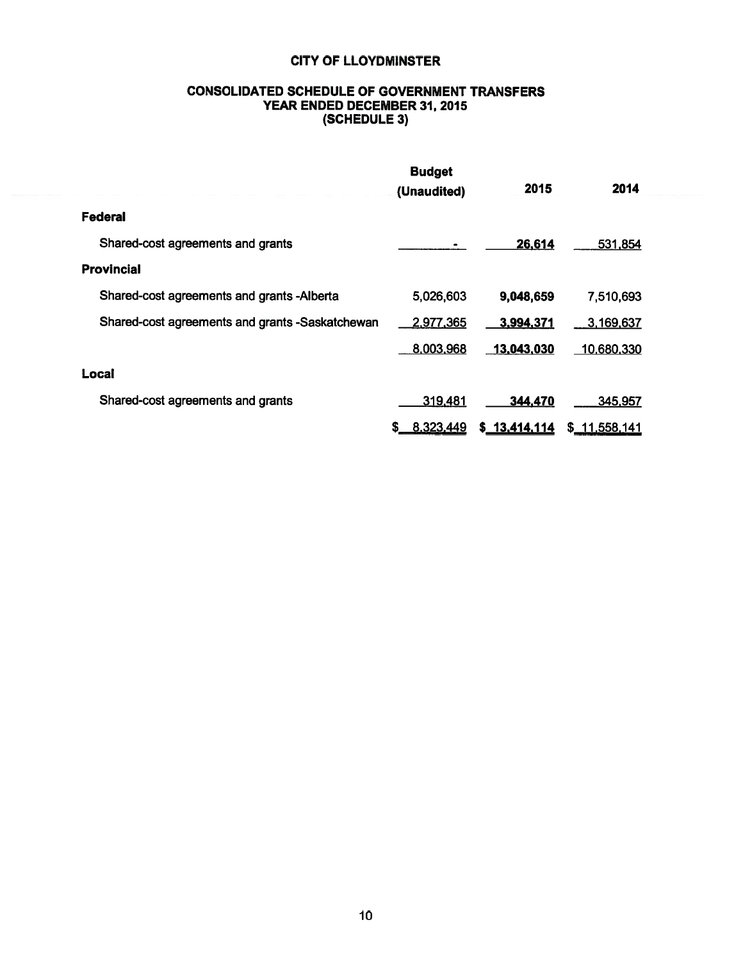### **CONSOLIDATED SCHEDULE OF GOVERNMENT TRANSFERS** YEAR ENDED DECEMBER 31, 2015 (SCHEDULE 3)

|                                                 | <b>Budget</b><br>(Unaudited) | 2015          | 2014          |  |
|-------------------------------------------------|------------------------------|---------------|---------------|--|
| Federal                                         |                              |               |               |  |
| Shared-cost agreements and grants               |                              | 26,614        | 531,854       |  |
| <b>Provincial</b>                               |                              |               |               |  |
| Shared-cost agreements and grants -Alberta      | 5,026,603                    | 9,048,659     | 7,510,693     |  |
| Shared-cost agreements and grants -Saskatchewan | 2,977,365                    | 3,994,371     | 3,169,637     |  |
|                                                 | 8,003,968                    | $-13,043,030$ | 10,680,330    |  |
| Local                                           |                              |               |               |  |
| Shared-cost agreements and grants               | 319,481                      | 344,470       | 345,957       |  |
|                                                 | 8.323,449<br>S.              | \$ 13,414,114 | \$_11,558,141 |  |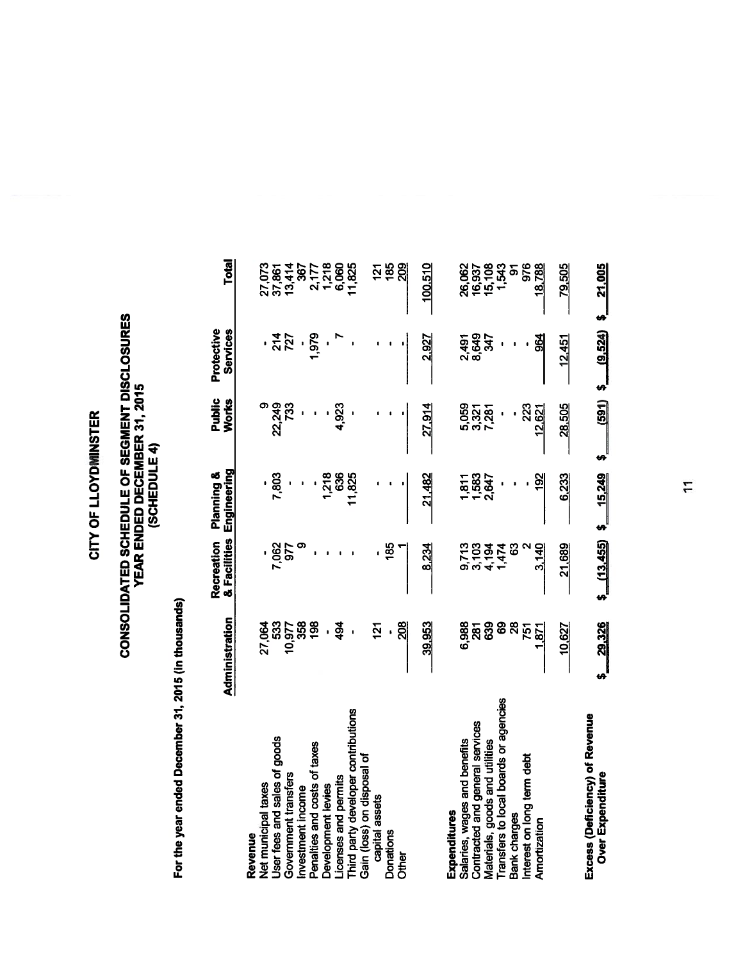## CONSOLIDATED SCHEDULE OF SEGMENT DISCLOSURES<br>YEAR ENDED DECEMBER 31, 2015<br>(SCHEDULE 4)

For the year ended December 31, 2015 (in thousands)

|                                                    | Administration    | & Facilities<br>Recreation | Engineering<br><b>Planning &amp;</b> | Public<br>Works | Protective<br>Services | Total            |
|----------------------------------------------------|-------------------|----------------------------|--------------------------------------|-----------------|------------------------|------------------|
| Revenue                                            |                   |                            |                                      |                 |                        |                  |
| <b>Vet municipal taxes</b>                         | 27,064            |                            |                                      |                 |                        |                  |
| Jser fees and sales of goods                       | 533               | 7,062                      | 7,803                                | 22,249          | . <u>주</u> 업<br>727    | 27,073<br>37,861 |
| Government transfers                               | 10,977            | 977                        |                                      | <u>នា</u>       |                        | 13,414           |
| nvestment income                                   | 358               |                            |                                      |                 |                        | 367              |
| Penalties and costs of taxes                       | 198               |                            |                                      |                 | 1,979                  | 2,177            |
| Development levies                                 |                   |                            | 1,218                                |                 |                        | 1,218            |
| icenses and permits                                | 494               |                            | 636                                  | 4,923           |                        | 6,060            |
| Third party developer contributions                |                   |                            | 11,825                               |                 |                        | 11,825           |
| Gain (loss) on disposal of                         |                   |                            |                                      |                 |                        |                  |
| capital assets                                     | <u>51</u>         |                            |                                      |                 |                        | <u>121</u>       |
| Donations                                          |                   | $\frac{85}{6}$             |                                      |                 |                        | 185              |
| <b>Difici</b>                                      | 208               |                            |                                      |                 |                        | <b>SOS</b>       |
|                                                    | 39,953            | 8.234                      | 21,482                               | 27,914          | 2,927                  | 100.510          |
|                                                    |                   |                            |                                      |                 |                        |                  |
| Expenditures                                       |                   |                            |                                      |                 |                        |                  |
| Salaries, wages and benefits                       | 6,988             | 9,713                      | 1,811                                | 5,059           | 2,491                  | 26,062           |
| Contracted and general services                    | 287               | 3,103                      | 1,583                                | 3,321           | 8,649                  |                  |
| Materials, goods and utilities                     | 639               | 4,194                      | 2,647                                |                 | <b>1KE</b>             | 16,937<br>15,108 |
| <b>Transfers to local boards or agencies</b>       | 89                | 1,474                      |                                      |                 |                        | 1,543            |
| sank charges                                       | 28                |                            |                                      |                 |                        | <u>৯</u>         |
| nterest on long term debt                          | 751               |                            |                                      | 223             |                        | 976              |
| Amortization                                       | $\overline{5}$    | 3,140                      | $\frac{8}{2}$                        | 12,621          | 964                    | 18,788           |
|                                                    | 10,627            | 21,689                     | 6,233                                | 28,505          | 12,451                 | 79.505           |
|                                                    |                   |                            |                                      |                 |                        |                  |
| Excess (Deficiency) of Revenue<br>Over Expenditure | 29,326<br>ِ<br>په | $$$ $(13,455)$             | \$15,249                             | (591)<br>m      | (9,524)<br>ø           | 21.005<br>s<br>S |

 $\overline{1}$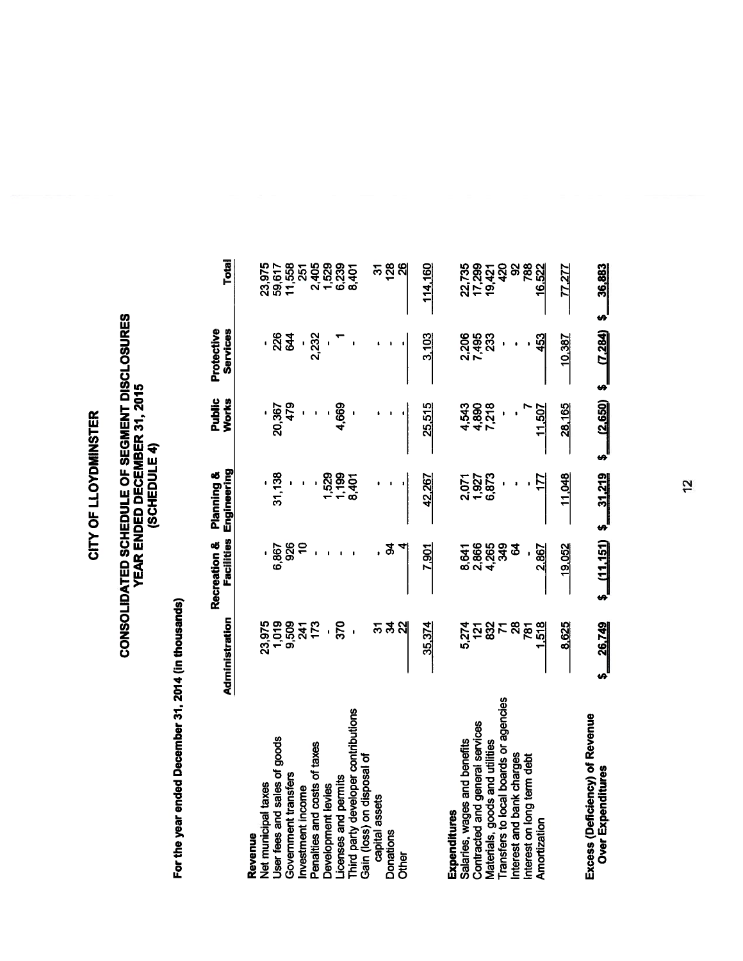## CONSOLIDATED SCHEDULE OF SEGMENT DISCLOSURES<br>YEAR ENDED DECEMBER 31, 2015<br>(SCHEDULE 4)

For the year ended December 31, 2014 (in thousands)

|                                                     | Administration   | Facilities<br>Recreation & | Engineering<br>Planning & | Public<br>Works | Protective<br>Services | <b>Total</b>     |
|-----------------------------------------------------|------------------|----------------------------|---------------------------|-----------------|------------------------|------------------|
| Revenue                                             |                  |                            |                           |                 |                        |                  |
| <b>Vet municipal taxes</b>                          | 23,975           |                            |                           |                 |                        |                  |
| Jser fees and sales of goods                        | 1,019            | 6,867                      | 31,138                    | 20,367          | . श्लुञ्ज              | 23,975<br>59,617 |
| Government transfers                                | 9,509            | 926                        |                           | 479             |                        | 11,558           |
| nvestment income                                    | 241              |                            |                           |                 |                        | 251              |
| Penalties and costs of taxes                        | 173              |                            |                           |                 | 2,232                  |                  |
| <b>Development levies</b>                           |                  |                            | 1,529                     |                 |                        |                  |
| icenses and permits                                 | 370              |                            | 1,199                     | 4,669           |                        |                  |
| Third party developer contributions                 |                  |                            | 8,401                     |                 |                        |                  |
| Gain (loss) on disposal of                          |                  |                            |                           |                 |                        |                  |
| capital assets                                      | స్               |                            |                           |                 |                        | స్               |
| <b>Donations</b>                                    | ಕ್ಷ              | ड़                         |                           |                 |                        | 128              |
| <b>Delx</b>                                         |                  |                            |                           |                 |                        | 26               |
|                                                     | 35,374           | 7,901                      | 42.267                    | 25,515          | 3,103                  | 114.160          |
|                                                     |                  |                            |                           |                 |                        |                  |
| <b>Expenditures</b>                                 |                  |                            |                           |                 |                        |                  |
| Salaries, wages and benefits                        | 5,274            | 8,641                      | 2.071                     | 4,543           | 2,206                  | 22,735           |
| Contracted and general services                     |                  | 2,866                      | 1,927                     | 4,890           | 7,495                  | 17,299           |
| Aaterials, goods and utilities                      | 832              | 4,265                      | 6,873                     | 7,218           | 233                    | 19,421           |
| Transfers to local boards or agencies               |                  | 349                        |                           |                 |                        | 420              |
| nterest and bank charges                            | 28               | 3                          |                           |                 |                        | 8                |
| nterest on long term debt                           | 781              |                            |                           |                 |                        | 788              |
| Amortization                                        | 518              | 2.867                      |                           | 507             | 453                    | 16,522           |
|                                                     | 8,625            | 19,052                     | 11.048                    | 28,165          | 10.387                 | 27               |
| Excess (Deficiency) of Revenue<br>Over Expenditures | 26,749<br>s<br>S | $$$ (11,151)               | 31,219<br>ل<br>په         | $$10,650$ \$    | (7, 284)               | 36,883<br>لم     |

 $\frac{1}{2}$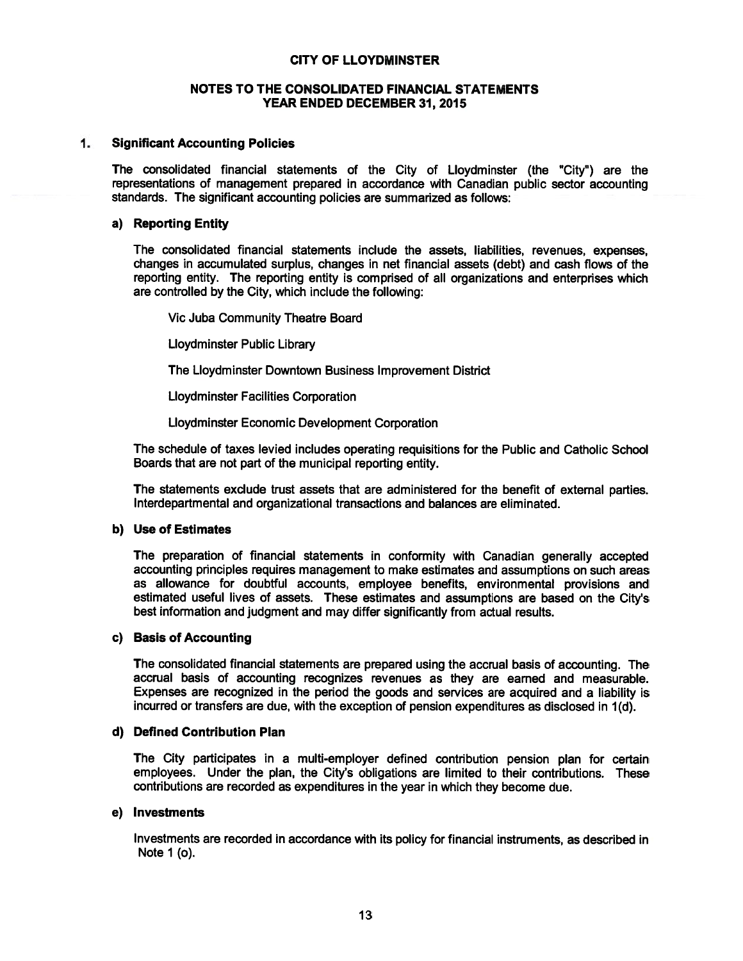### NOTES TO THE CONSOLIDATED FINANCIAL STATEMENTS YEAR ENDED DECEMBER 31, 2015

### $1.$ **Significant Accounting Policies**

The consolidated financial statements of the City of Lloydminster (the "City") are the representations of management prepared in accordance with Canadian public sector accounting standards. The significant accounting policies are summarized as follows:

### a) Reporting Entity

The consolidated financial statements include the assets, liabilities, revenues, expenses, changes in accumulated surplus, changes in net financial assets (debt) and cash flows of the reporting entity. The reporting entity is comprised of all organizations and enterprises which are controlled by the City, which include the following:

Vic Juba Community Theatre Board

Lloydminster Public Library

The Lloydminster Downtown Business Improvement District

**Lloydminster Facilities Corporation** 

Lloydminster Economic Development Corporation

The schedule of taxes levied includes operating requisitions for the Public and Catholic School Boards that are not part of the municipal reporting entity.

The statements exclude trust assets that are administered for the benefit of external parties. Interdepartmental and organizational transactions and balances are eliminated.

### b) Use of Estimates

The preparation of financial statements in conformity with Canadian generally accepted accounting principles requires management to make estimates and assumptions on such areas as allowance for doubtful accounts, employee benefits, environmental provisions and estimated useful lives of assets. These estimates and assumptions are based on the City's best information and judgment and may differ significantly from actual results.

### c) Basis of Accounting

The consolidated financial statements are prepared using the accrual basis of accounting. The accrual basis of accounting recognizes revenues as they are earned and measurable. Expenses are recognized in the period the goods and services are acquired and a liability is incurred or transfers are due, with the exception of pension expenditures as disclosed in 1(d).

### d) Defined Contribution Plan

The City participates in a multi-employer defined contribution pension plan for certain employees. Under the plan, the City's obligations are limited to their contributions. These contributions are recorded as expenditures in the year in which they become due.

### e) Investments

Investments are recorded in accordance with its policy for financial instruments, as described in Note 1 (o).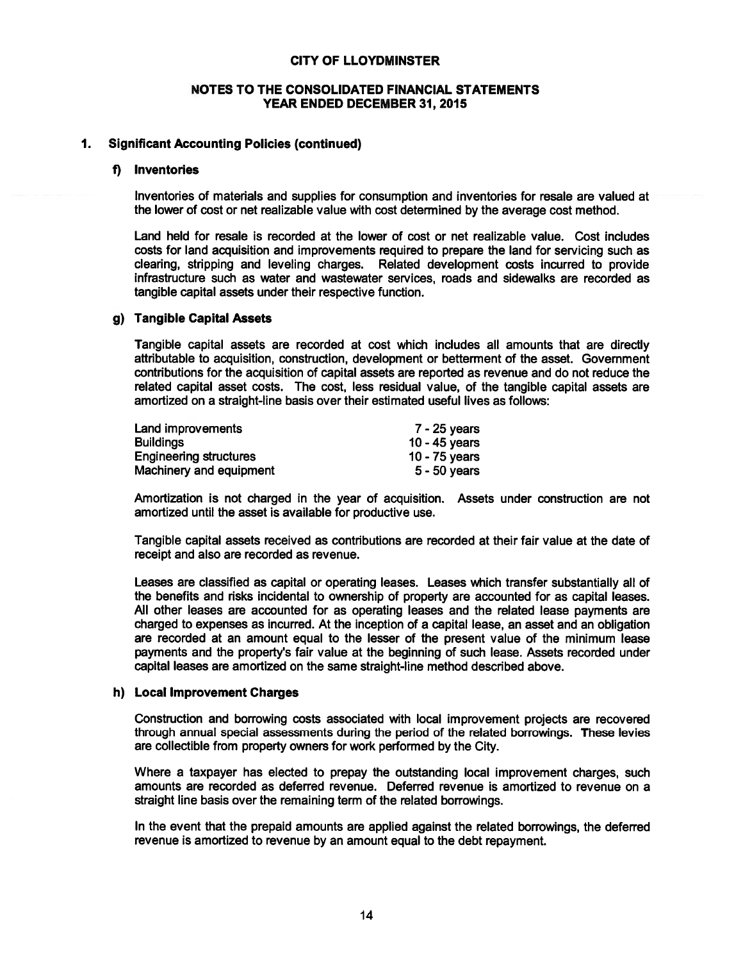### NOTES TO THE CONSOLIDATED FINANCIAL STATEMENTS YEAR ENDED DECEMBER 31, 2015

### 1. **Significant Accounting Policies (continued)**

### f) Inventories

Inventories of materials and supplies for consumption and inventories for resale are valued at the lower of cost or net realizable value with cost determined by the average cost method.

Land held for resale is recorded at the lower of cost or net realizable value. Cost includes costs for land acquisition and improvements required to prepare the land for servicing such as clearing, stripping and leveling charges. Related development costs incurred to provide infrastructure such as water and wastewater services, roads and sidewalks are recorded as tangible capital assets under their respective function.

### g) Tangible Capital Assets

Tangible capital assets are recorded at cost which includes all amounts that are directly attributable to acquisition, construction, development or betterment of the asset. Government contributions for the acquisition of capital assets are reported as revenue and do not reduce the related capital asset costs. The cost, less residual value, of the tangible capital assets are amortized on a straight-line basis over their estimated useful lives as follows:

| Land improvements             | $7 - 25$ years |
|-------------------------------|----------------|
| <b>Buildings</b>              | 10 - 45 years  |
| <b>Engineering structures</b> | 10 - 75 years  |
| Machinery and equipment       | $5 - 50$ years |

Amortization is not charged in the year of acquisition. Assets under construction are not amortized until the asset is available for productive use.

Tangible capital assets received as contributions are recorded at their fair value at the date of receipt and also are recorded as revenue.

Leases are classified as capital or operating leases. Leases which transfer substantially all of the benefits and risks incidental to ownership of property are accounted for as capital leases. All other leases are accounted for as operating leases and the related lease payments are charged to expenses as incurred. At the inception of a capital lease, an asset and an obligation are recorded at an amount equal to the lesser of the present value of the minimum lease payments and the property's fair value at the beginning of such lease. Assets recorded under capital leases are amortized on the same straight-line method described above.

### h) Local Improvement Charges

Construction and borrowing costs associated with local improvement projects are recovered through annual special assessments during the period of the related borrowings. These levies are collectible from property owners for work performed by the City.

Where a taxpayer has elected to prepay the outstanding local improvement charges, such amounts are recorded as deferred revenue. Deferred revenue is amortized to revenue on a straight line basis over the remaining term of the related borrowings.

In the event that the prepaid amounts are applied against the related borrowings, the deferred revenue is amortized to revenue by an amount equal to the debt repayment.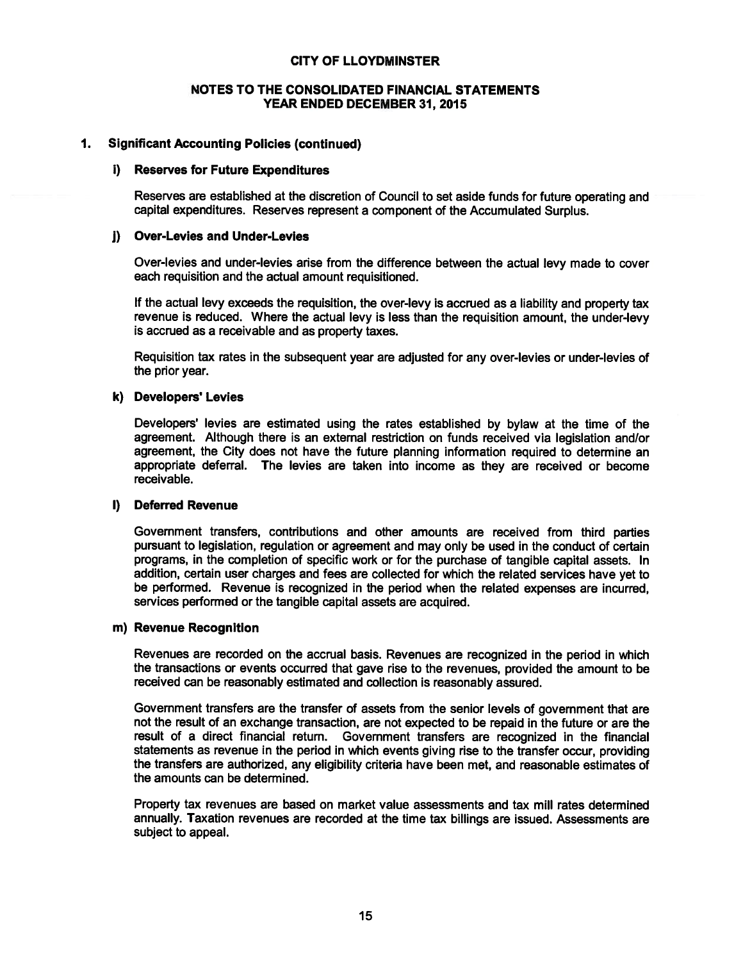### NOTES TO THE CONSOLIDATED FINANCIAL STATEMENTS YEAR ENDED DECEMBER 31, 2015

### $1.$ **Significant Accounting Policies (continued)**

### i) Reserves for Future Expenditures

Reserves are established at the discretion of Council to set aside funds for future operating and capital expenditures. Reserves represent a component of the Accumulated Surplus.

### j) Over-Levies and Under-Levies

Over-levies and under-levies arise from the difference between the actual levy made to cover each requisition and the actual amount requisitioned.

If the actual levy exceeds the requisition, the over-levy is accrued as a liability and property tax revenue is reduced. Where the actual levy is less than the requisition amount, the under-levy is accrued as a receivable and as property taxes.

Requisition tax rates in the subsequent year are adjusted for any over-levies or under-levies of the prior year.

### k) Developers' Levies

Developers' levies are estimated using the rates established by bylaw at the time of the agreement. Although there is an external restriction on funds received via legislation and/or agreement, the City does not have the future planning information required to determine an appropriate deferral. The levies are taken into income as they are received or become receivable.

### I) Deferred Revenue

Government transfers, contributions and other amounts are received from third parties pursuant to legislation, regulation or agreement and may only be used in the conduct of certain programs, in the completion of specific work or for the purchase of tangible capital assets. In addition, certain user charges and fees are collected for which the related services have yet to be performed. Revenue is recognized in the period when the related expenses are incurred, services performed or the tangible capital assets are acquired.

### m) Revenue Recognition

Revenues are recorded on the accrual basis. Revenues are recognized in the period in which the transactions or events occurred that gave rise to the revenues, provided the amount to be received can be reasonably estimated and collection is reasonably assured.

Government transfers are the transfer of assets from the senior levels of government that are not the result of an exchange transaction, are not expected to be repaid in the future or are the result of a direct financial return. Government transfers are recognized in the financial statements as revenue in the period in which events giving rise to the transfer occur, providing the transfers are authorized, any eligibility criteria have been met, and reasonable estimates of the amounts can be determined.

Property tax revenues are based on market value assessments and tax mill rates determined annually. Taxation revenues are recorded at the time tax billings are issued. Assessments are subject to appeal.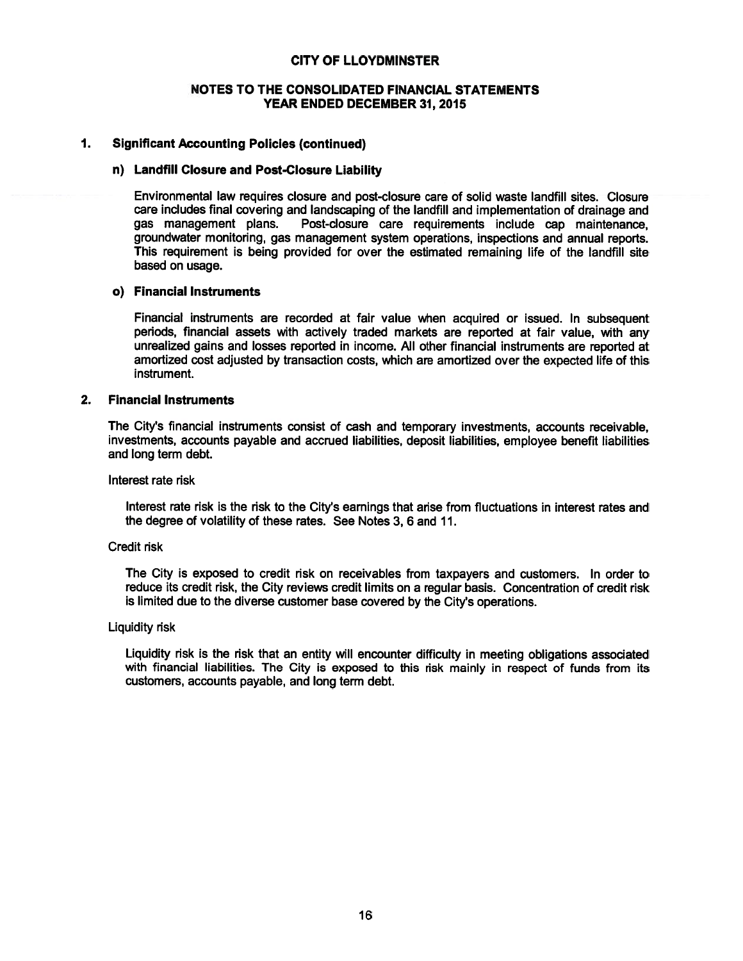### NOTES TO THE CONSOLIDATED FINANCIAL STATEMENTS YEAR ENDED DECEMBER 31, 2015

### $1.$ **Significant Accounting Policies (continued)**

### n) Landfill Closure and Post-Closure Liability

Environmental law requires closure and post-closure care of solid waste landfill sites. Closure care includes final covering and landscaping of the landfill and implementation of drainage and gas management plans. Post-closure care requirements include cap maintenance. groundwater monitoring, gas management system operations, inspections and annual reports. This requirement is being provided for over the estimated remaining life of the landfill site based on usage.

### o) Financial Instruments

Financial instruments are recorded at fair value when acquired or issued. In subsequent periods, financial assets with actively traded markets are reported at fair value, with any unrealized gains and losses reported in income. All other financial instruments are reported at amortized cost adjusted by transaction costs, which are amortized over the expected life of this instrument.

### $2.$ **Financial Instruments**

The City's financial instruments consist of cash and temporary investments, accounts receivable, investments, accounts payable and accrued liabilities, deposit liabilities, employee benefit liabilities and long term debt.

Interest rate risk

Interest rate risk is the risk to the City's earnings that arise from fluctuations in interest rates and the degree of volatility of these rates. See Notes 3, 6 and 11.

### **Credit risk**

The City is exposed to credit risk on receivables from taxpayers and customers. In order to reduce its credit risk, the City reviews credit limits on a regular basis. Concentration of credit risk is limited due to the diverse customer base covered by the City's operations.

### **Liquidity risk**

Liquidity risk is the risk that an entity will encounter difficulty in meeting obligations associated with financial liabilities. The City is exposed to this risk mainly in respect of funds from its customers, accounts payable, and long term debt.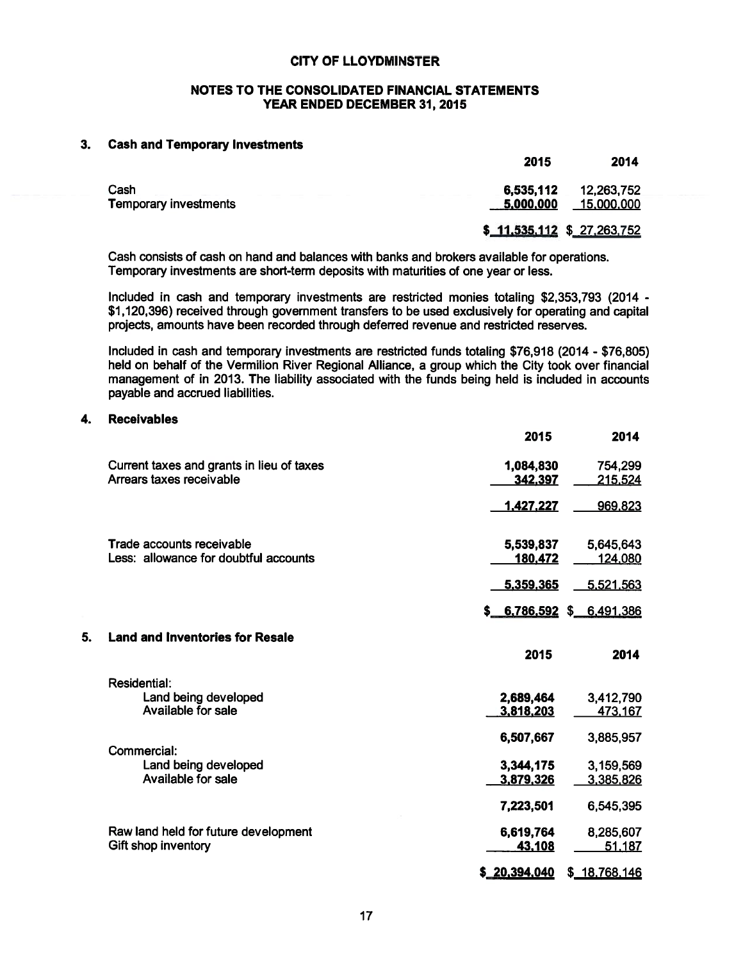### NOTES TO THE CONSOLIDATED FINANCIAL STATEMENTS YEAR ENDED DECEMBER 31, 2015

### **Cash and Temporary Investments**  $3<sub>-</sub>$

| 6,535,112 | 12,263,752<br>15,000,000               |
|-----------|----------------------------------------|
|           |                                        |
|           | 5,000,000<br>\$11,535,112 \$27,263,752 |

Cash consists of cash on hand and balances with banks and brokers available for operations. Temporary investments are short-term deposits with maturities of one year or less.

Included in cash and temporary investments are restricted monies totaling \$2,353,793 (2014 -\$1,120,396) received through government transfers to be used exclusively for operating and capital projects, amounts have been recorded through deferred revenue and restricted reserves.

Included in cash and temporary investments are restricted funds totaling \$76,918 (2014 - \$76,805) held on behalf of the Vermilion River Regional Alliance, a group which the City took over financial management of in 2013. The liability associated with the funds being held is included in accounts payable and accrued liabilities.

### 4. **Receivables**

5.

|                                           | 2015                     | 2014          |
|-------------------------------------------|--------------------------|---------------|
| Current taxes and grants in lieu of taxes | 1,084,830                | 754,299       |
| Arrears taxes receivable                  | 342,397                  | 215,524       |
|                                           | <u>1,427,227</u>         | 969,823       |
| <b>Trade accounts receivable</b>          | 5,539,837                | 5,645,643     |
| Less: allowance for doubtful accounts     | 180,472                  | 124,080       |
|                                           | 5,359,365                | 5,521,563     |
|                                           | $$6,786,592$ \$6.491,386 |               |
| <b>Land and Inventories for Resale</b>    |                          |               |
|                                           | 2015                     | 2014          |
| <b>Residential:</b>                       |                          |               |
| Land being developed                      | 2,689,464                | 3,412,790     |
| Available for sale                        | 3,818,203                | 473,167       |
| Commercial:                               | 6,507,667                | 3,885,957     |
| Land being developed                      | 3,344,175                | 3,159,569     |
| Available for sale                        | 3,879,326                | 3,385,826     |
|                                           | 7,223,501                | 6,545,395     |
| Raw land held for future development      | 6,619,764                | 8,285,607     |
| Gift shop inventory                       | 43,108                   | 51.187        |
|                                           | \$20,394,040             | \$ 18,768,146 |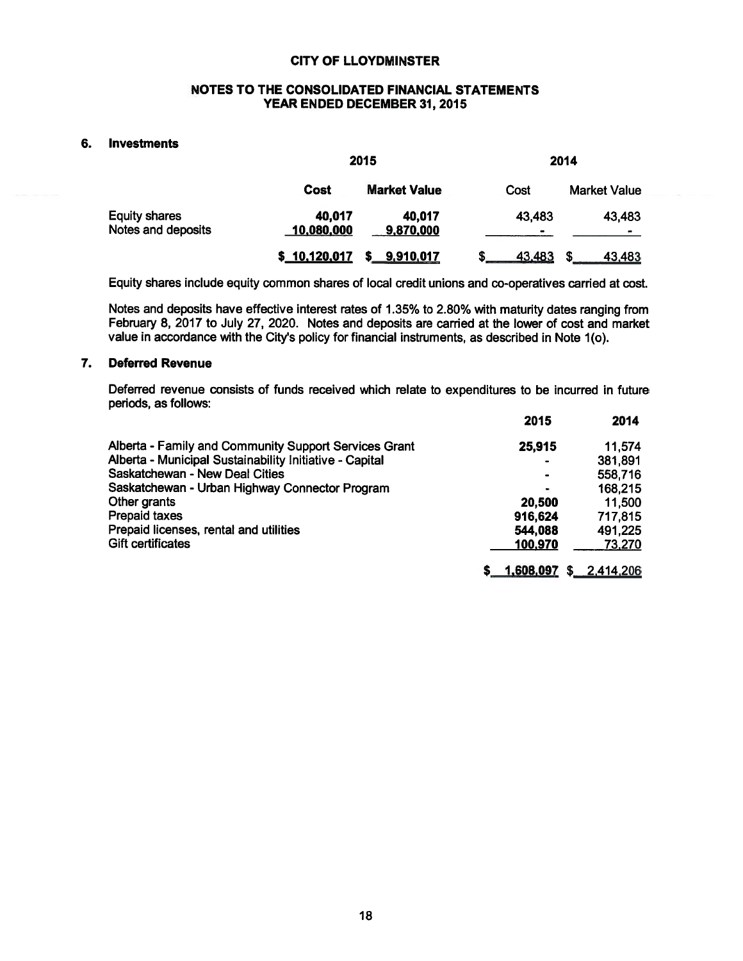### NOTES TO THE CONSOLIDATED FINANCIAL STATEMENTS YEAR ENDED DECEMBER 31, 2015

### **Investments** 6.

|                                            | 2015                 |                     | 2014        |                     |  |
|--------------------------------------------|----------------------|---------------------|-------------|---------------------|--|
|                                            | Cost                 | <b>Market Value</b> | Cost        | <b>Market Value</b> |  |
| <b>Equity shares</b><br>Notes and deposits | 40.017<br>10,080,000 | 40,017<br>9,870,000 | 43,483<br>- | 43,483<br>$\bullet$ |  |
|                                            | \$10,120,017         | 9,910,017           | 43,483      | 43,483<br>S         |  |

Equity shares include equity common shares of local credit unions and co-operatives carried at cost.

Notes and deposits have effective interest rates of 1.35% to 2.80% with maturity dates ranging from February 8, 2017 to July 27, 2020. Notes and deposits are carried at the lower of cost and market value in accordance with the City's policy for financial instruments, as described in Note 1(o).

### **Deferred Revenue** 7.

Deferred revenue consists of funds received which relate to expenditures to be incurred in future periods, as follows:

|                                                         | 2015                         | 2014        |
|---------------------------------------------------------|------------------------------|-------------|
| Alberta - Family and Community Support Services Grant   | 25,915                       | 11,574      |
| Alberta - Municipal Sustainability Initiative - Capital | $\qquad \qquad \blacksquare$ | 381,891     |
| Saskatchewan - New Deal Cities                          | $\blacksquare$               | 558,716     |
| Saskatchewan - Urban Highway Connector Program          | ۰.                           | 168,215     |
| Other grants                                            | 20,500                       | 11,500      |
| <b>Prepaid taxes</b>                                    | 916,624                      | 717,815     |
| Prepaid licenses, rental and utilities                  | 544.088                      | 491,225     |
| <b>Gift certificates</b>                                | 100,970                      | 73,270      |
|                                                         | 1,608,097                    | \$2,414,206 |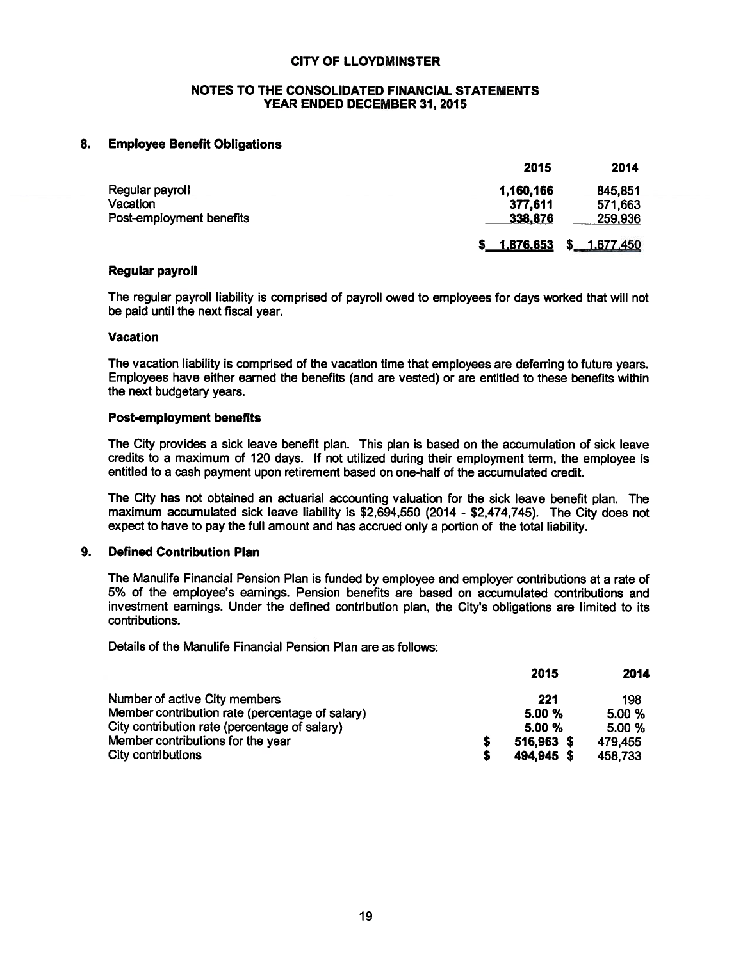### NOTES TO THE CONSOLIDATED FINANCIAL STATEMENTS YEAR ENDED DECEMBER 31, 2015

### **Employee Benefit Obligations** 8.

|                          | 2015      | 2014           |
|--------------------------|-----------|----------------|
| Regular payroll          | 1,160,166 | 845.851        |
| Vacation                 | 377,611   | 571,663        |
| Post-employment benefits | 338.876   | 259,936        |
|                          | 1,876,653 | S<br>1,677,450 |

### **Regular payroll**

The regular payroll liability is comprised of payroll owed to employees for days worked that will not be paid until the next fiscal year.

### **Vacation**

The vacation liability is comprised of the vacation time that employees are deferring to future years. Employees have either earned the benefits (and are vested) or are entitled to these benefits within the next budgetary years.

### **Post-employment benefits**

The City provides a sick leave benefit plan. This plan is based on the accumulation of sick leave credits to a maximum of 120 days. If not utilized during their employment term, the employee is entitled to a cash payment upon retirement based on one-half of the accumulated credit.

The City has not obtained an actuarial accounting valuation for the sick leave benefit plan. The maximum accumulated sick leave liability is \$2,694,550 (2014 - \$2,474,745). The City does not expect to have to pay the full amount and has accrued only a portion of the total liability.

### $9.$ **Defined Contribution Plan**

The Manulife Financial Pension Plan is funded by employee and employer contributions at a rate of 5% of the employee's earnings. Pension benefits are based on accumulated contributions and investment earnings. Under the defined contribution plan, the City's obligations are limited to its contributions.

Details of the Manulife Financial Pension Plan are as follows:

|                                                 |   | 2015       | 2014    |
|-------------------------------------------------|---|------------|---------|
| Number of active City members                   |   | 221        | 198     |
| Member contribution rate (percentage of salary) |   | 5.00%      | 5.00 %  |
| City contribution rate (percentage of salary)   |   | 5.00%      | 5.00%   |
| Member contributions for the year               | S | 516,963 \$ | 479.455 |
| City contributions                              | S | 494,945 \$ | 458,733 |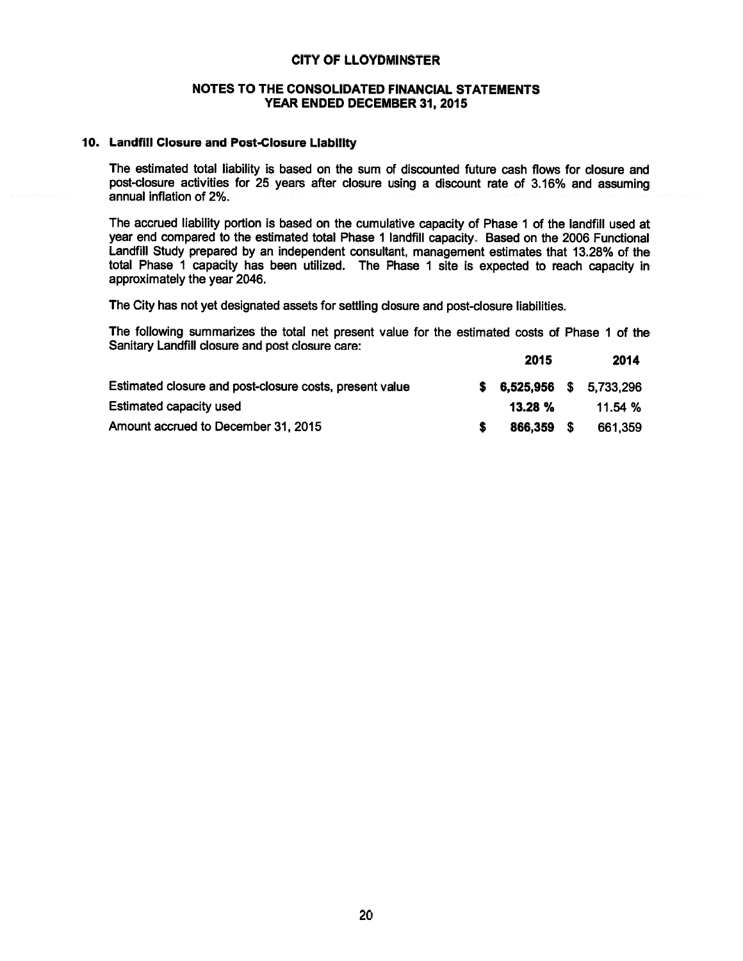### NOTES TO THE CONSOLIDATED FINANCIAL STATEMENTS YEAR ENDED DECEMBER 31, 2015

### 10. Landfill Closure and Post-Closure Liability

The estimated total liability is based on the sum of discounted future cash flows for closure and post-closure activities for 25 years after closure using a discount rate of 3.16% and assuming annual inflation of 2%.

The accrued liability portion is based on the cumulative capacity of Phase 1 of the landfill used at year end compared to the estimated total Phase 1 landfill capacity. Based on the 2006 Functional Landfill Study prepared by an independent consultant, management estimates that 13.28% of the total Phase 1 capacity has been utilized. The Phase 1 site is expected to reach capacity in approximately the year 2046.

The City has not yet designated assets for settling closure and post-closure liabilities.

The following summarizes the total net present value for the estimated costs of Phase 1 of the Sanitary Landfill closure and post closure care: **OOAR**  $0.000$ 

|                                                         | 2015                      | ZU14.   |
|---------------------------------------------------------|---------------------------|---------|
| Estimated closure and post-closure costs, present value | $$6,525,956$ $$5,733,296$ |         |
| Estimated capacity used                                 | $13.28 \%$                | 11.54 % |
| Amount accrued to December 31, 2015                     | 866.359 S                 | 661,359 |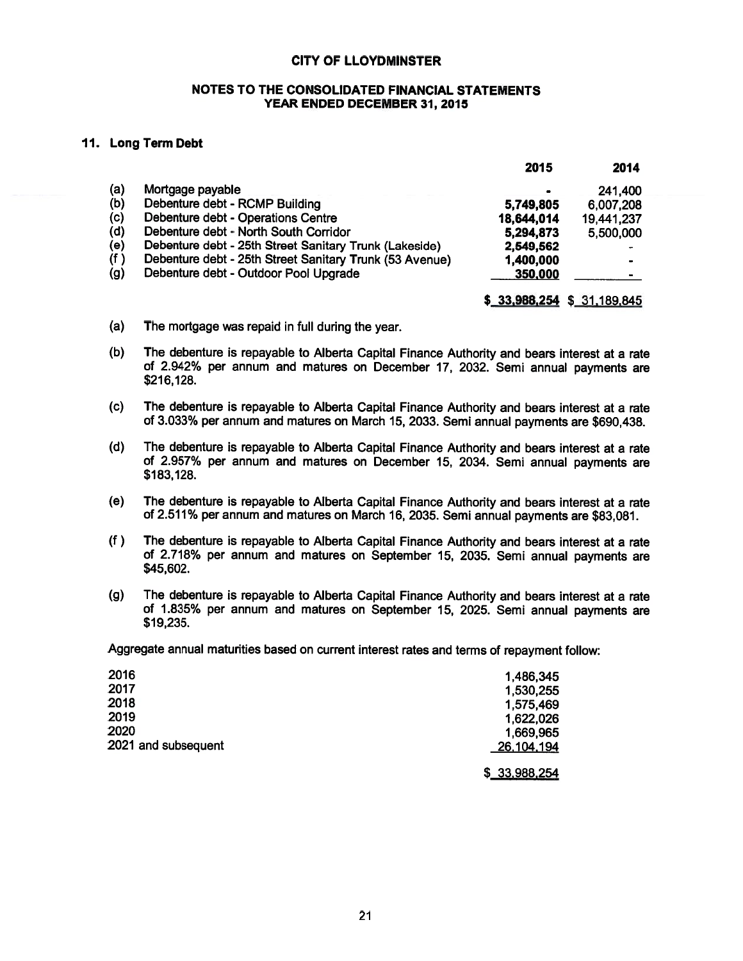### NOTES TO THE CONSOLIDATED FINANCIAL STATEMENTS YEAR ENDED DECEMBER 31, 2015

### 11. Long Term Debt

|     |                                                         | 2015       | 2014                        |
|-----|---------------------------------------------------------|------------|-----------------------------|
| (a) | Mortgage payable                                        |            | 241,400                     |
| (b) | Debenture debt - RCMP Building                          | 5,749,805  | 6,007,208                   |
| (c) | Debenture debt - Operations Centre                      | 18,644,014 | 19,441,237                  |
| (d) | Debenture debt - North South Corridor                   | 5,294,873  | 5,500,000                   |
| (e) | Debenture debt - 25th Street Sanitary Trunk (Lakeside)  | 2,549,562  | $\bullet$                   |
| (f) | Debenture debt - 25th Street Sanitary Trunk (53 Avenue) | 1,400,000  |                             |
| (g) | Debenture debt - Outdoor Pool Upgrade                   | 350,000    |                             |
|     |                                                         |            | $$33,988,254$ \$ 31,189,845 |

- $(a)$ The mortgage was repaid in full during the year.
- The debenture is repayable to Alberta Capital Finance Authority and bears interest at a rate  $(b)$ of 2.942% per annum and matures on December 17, 2032. Semi annual payments are \$216,128.
- The debenture is repayable to Alberta Capital Finance Authority and bears interest at a rate  $(c)$ of 3.033% per annum and matures on March 15, 2033. Semi annual payments are \$690,438.
- $(d)$ The debenture is repayable to Alberta Capital Finance Authority and bears interest at a rate of 2.957% per annum and matures on December 15, 2034. Semi annual payments are \$183,128.
- $(e)$ The debenture is repayable to Alberta Capital Finance Authority and bears interest at a rate of 2.511% per annum and matures on March 16, 2035. Semi annual payments are \$83,081.
- The debenture is repayable to Alberta Capital Finance Authority and bears interest at a rate  $(f)$ of 2.718% per annum and matures on September 15, 2035. Semi annual payments are \$45,602.
- The debenture is repayable to Alberta Capital Finance Authority and bears interest at a rate  $(g)$ of 1.835% per annum and matures on September 15, 2025. Semi annual payments are \$19,235.

Aggregate annual maturities based on current interest rates and terms of repayment follow:

| 2016                | 1,486,345  |
|---------------------|------------|
| 2017                | 1,530,255  |
| 2018                | 1,575,469  |
| 2019                | 1,622,026  |
| 2020                | 1,669,965  |
| 2021 and subsequent | 26,104,194 |
|                     |            |

\$ 33,988,254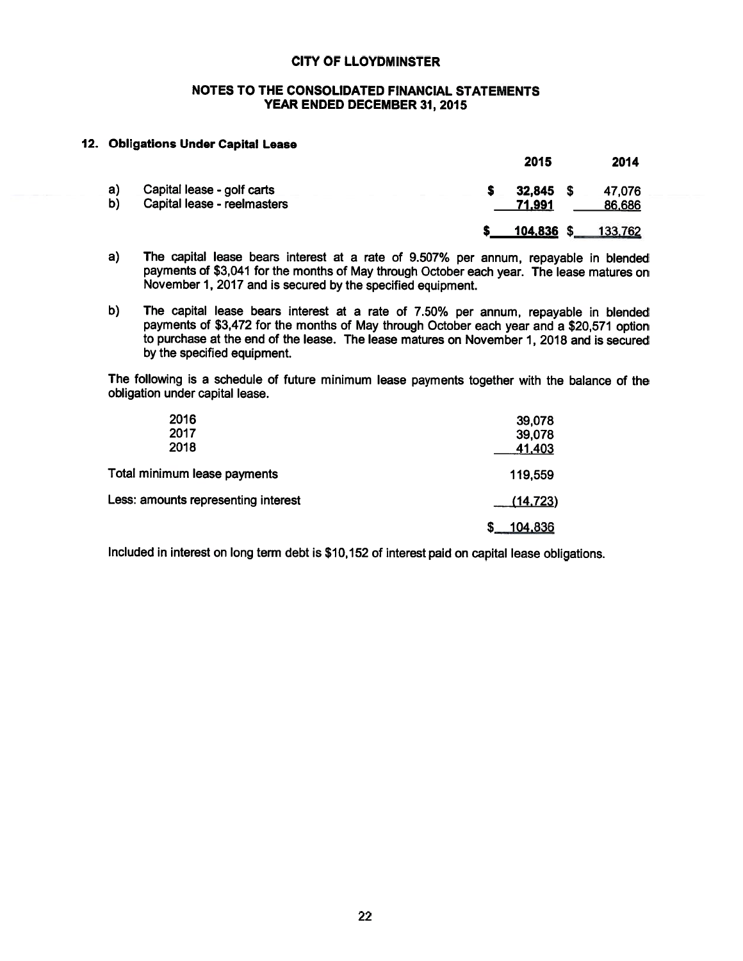### NOTES TO THE CONSOLIDATED FINANCIAL STATEMENTS YEAR ENDED DECEMBER 31, 2015

### 12. Obligations Under Capital Lease

|                                                                       |                  | 2015       |                  | 2014    |
|-----------------------------------------------------------------------|------------------|------------|------------------|---------|
| a)<br>Capital lease - golf carts<br>b)<br>Capital lease - reelmasters | 32,845<br>71,991 | - 5        | 47,076<br>86,686 |         |
|                                                                       |                  | 104,836 \$ |                  | 133,762 |

- $a)$ The capital lease bears interest at a rate of 9.507% per annum, repayable in blended payments of \$3,041 for the months of May through October each year. The lease matures on November 1, 2017 and is secured by the specified equipment.
- The capital lease bears interest at a rate of 7.50% per annum, repayable in blended  $b)$ payments of \$3,472 for the months of May through October each year and a \$20,571 option to purchase at the end of the lease. The lease matures on November 1, 2018 and is secured by the specified equipment.

The following is a schedule of future minimum lease payments together with the balance of the obligation under capital lease.

| 2016<br>2017                        | 39,078<br>39,078 |
|-------------------------------------|------------------|
| 2018                                | 41,403           |
| Total minimum lease payments        | 119,559          |
| Less: amounts representing interest | (14, 723)        |
|                                     | 104,836          |

Included in interest on long term debt is \$10,152 of interest paid on capital lease obligations.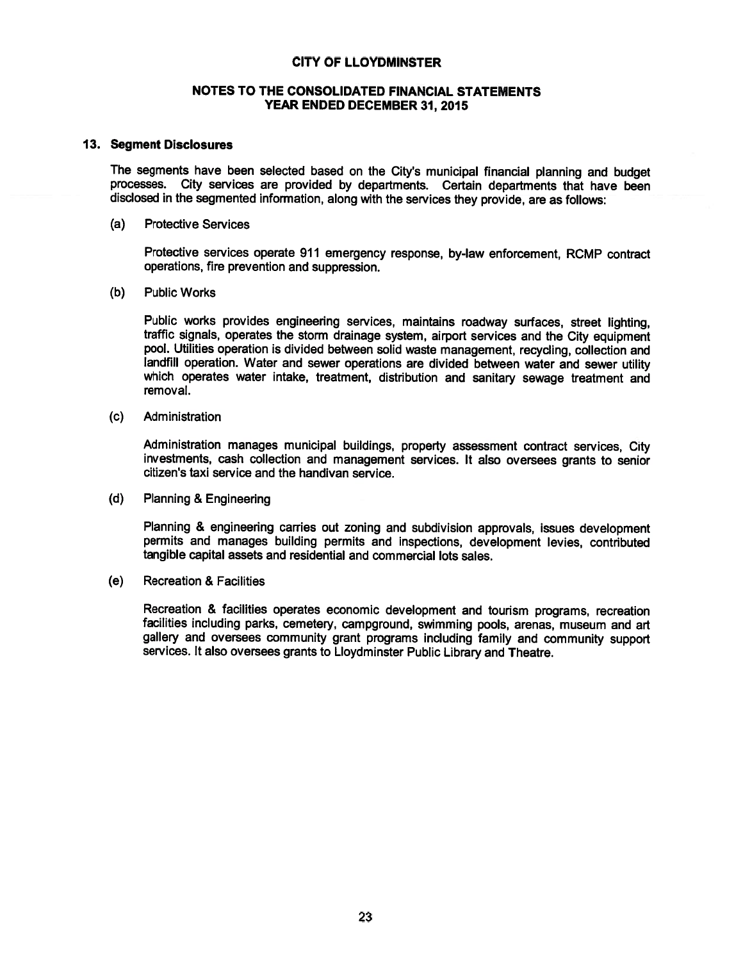### NOTES TO THE CONSOLIDATED FINANCIAL STATEMENTS YEAR ENDED DECEMBER 31, 2015

### 13. Segment Disclosures

The segments have been selected based on the City's municipal financial planning and budget processes. City services are provided by departments. Certain departments that have been disclosed in the segmented information, along with the services they provide, are as follows:

### $(a)$ **Protective Services**

Protective services operate 911 emergency response, by-law enforcement, RCMP contract operations, fire prevention and suppression.

 $(b)$ **Public Works** 

> Public works provides engineering services, maintains roadway surfaces, street lighting. traffic signals, operates the storm drainage system, airport services and the City equipment pool. Utilities operation is divided between solid waste management, recycling, collection and landfill operation. Water and sewer operations are divided between water and sewer utility which operates water intake, treatment, distribution and sanitary sewage treatment and removal.

 $(c)$ Administration

> Administration manages municipal buildings, property assessment contract services, City investments, cash collection and management services. It also oversees grants to senior citizen's taxi service and the handivan service.

 $(d)$ **Planning & Engineering** 

> Planning & engineering carries out zoning and subdivision approvals, issues development permits and manages building permits and inspections, development levies, contributed tangible capital assets and residential and commercial lots sales.

 $(e)$ **Recreation & Facilities** 

> Recreation & facilities operates economic development and tourism programs, recreation facilities including parks, cemetery, campground, swimming pools, arenas, museum and art gallery and oversees community grant programs including family and community support services. It also oversees grants to Lloydminster Public Library and Theatre.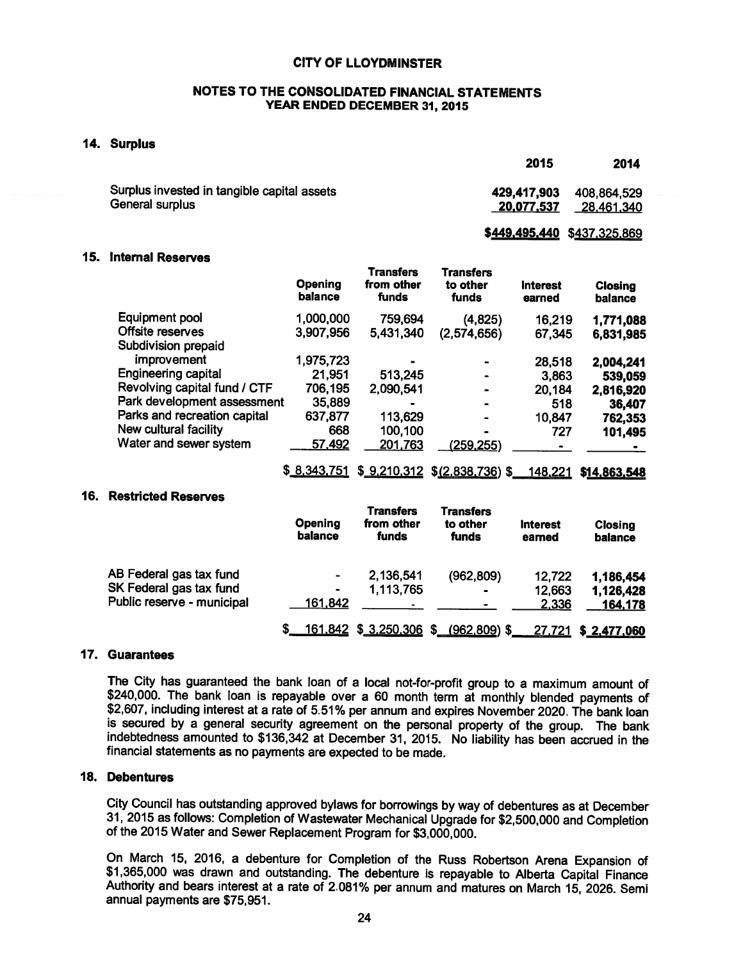### NOTES TO THE CONSOLIDATED FINANCIAL STATEMENTS YEAR ENDED DECEMBER 31, 2015

### 14. Surplus

|                                                                | 2015                        | 2014                      |
|----------------------------------------------------------------|-----------------------------|---------------------------|
| Surplus invested in tangible capital assets<br>General surplus | 429,417,903<br>20,077,537   | 408,864,529<br>28,461,340 |
|                                                                | \$449,495,440 \$437,325,869 |                           |

### 15. Internal Reserves

|                              | <b>Opening</b><br>balance | <b>Transfers</b><br>from other<br>funds | <b>Transfers</b><br>to other<br>funds | <b>Interest</b><br>earned | <b>Closing</b><br>balance |
|------------------------------|---------------------------|-----------------------------------------|---------------------------------------|---------------------------|---------------------------|
| Equipment pool               | 1,000,000                 | 759,694                                 | (4,825)                               | 16,219                    | 1,771,088                 |
| Offsite reserves             | 3,907,956                 | 5,431,340                               | (2,574,656)                           | 67,345                    | 6,831,985                 |
| Subdivision prepaid          |                           |                                         |                                       |                           |                           |
| improvement                  | 1,975,723                 |                                         |                                       | 28,518                    | 2,004,241                 |
| <b>Engineering capital</b>   | 21,951                    | 513,245                                 |                                       | 3,863                     | 539,059                   |
| Revolving capital fund / CTF | 706,195                   | 2,090,541                               |                                       | 20,184                    | 2,816,920                 |
| Park development assessment  | 35,889                    |                                         |                                       | 518                       | 36,407                    |
| Parks and recreation capital | 637,877                   | 113,629                                 |                                       | 10,847                    | 762,353                   |
| New cultural facility        | 668                       | 100,100                                 |                                       | 727                       | 101,495                   |
| Water and sewer system       | 57,492                    | 201,763                                 | (259, 255)                            |                           |                           |
|                              | \$8,343,751               |                                         | $$9,210,312$ $$(2,838,736)$ \$        | 148,221                   | \$14,863,548              |
|                              |                           |                                         |                                       |                           |                           |

### **16. Restricted Reserves**

|                            | Opening<br>balance           | <b>Transfers</b><br>from other<br>funds | <b>Transfers</b><br>to other<br>funds | <b>Interest</b><br>earned | Closing<br>balance |
|----------------------------|------------------------------|-----------------------------------------|---------------------------------------|---------------------------|--------------------|
| AB Federal gas tax fund    | $\qquad \qquad \blacksquare$ | 2,136,541                               | (962, 809)                            | 12,722                    | 1,186,454          |
| SK Federal gas tax fund    | $\bullet$                    | 1,113,765                               | $\blacksquare$                        | 12,663                    | 1,126,428          |
| Public reserve - municipal | 161,842                      |                                         | $\bullet$                             | 2,336                     | 164,178            |
|                            |                              | <u>161,842 \$ 3,250,306</u>             | $(962, 809)$ \$                       | 27,721                    | \$2,477,060        |

### 17. Guarantees

The City has guaranteed the bank loan of a local not-for-profit group to a maximum amount of \$240,000. The bank loan is repayable over a 60 month term at monthly blended payments of \$2,607, including interest at a rate of 5.51% per annum and expires November 2020. The bank loan is secured by a general security agreement on the personal property of the group. The bank indebtedness amounted to \$136,342 at December 31, 2015. No liability has been accrued in the financial statements as no payments are expected to be made.

### 18. Debentures

City Council has outstanding approved bylaws for borrowings by way of debentures as at December 31, 2015 as follows: Completion of Wastewater Mechanical Upgrade for \$2,500,000 and Completion of the 2015 Water and Sewer Replacement Program for \$3,000,000.

On March 15, 2016, a debenture for Completion of the Russ Robertson Arena Expansion of \$1,365,000 was drawn and outstanding. The debenture is repayable to Alberta Capital Finance Authority and bears interest at a rate of 2.081% per annum and matures on March 15, 2026. Semi annual payments are \$75,951.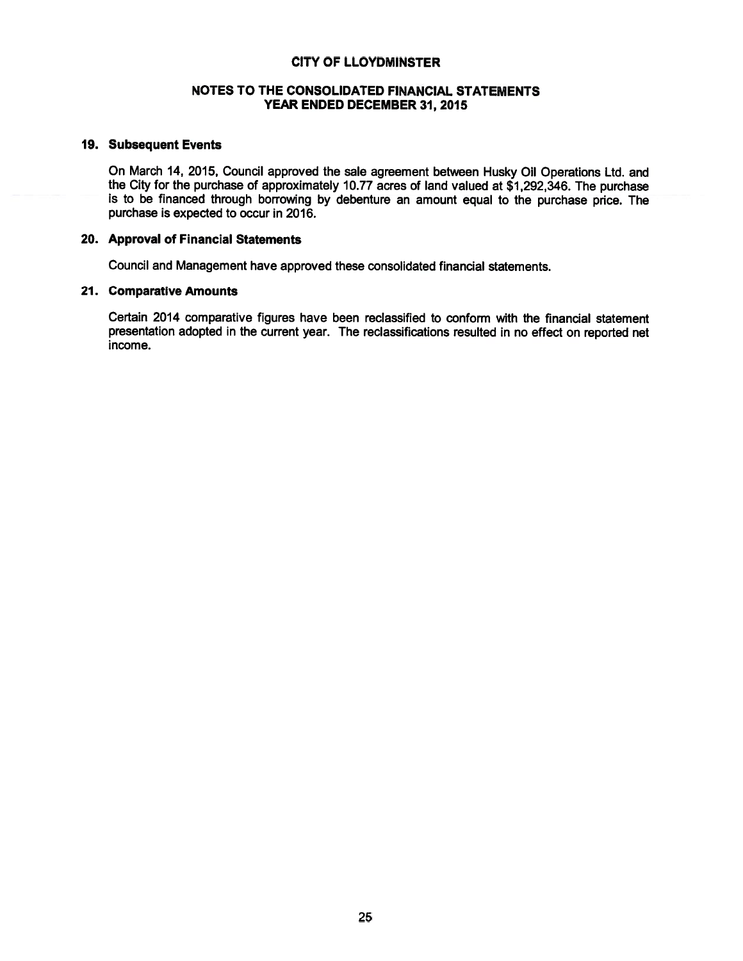### NOTES TO THE CONSOLIDATED FINANCIAL STATEMENTS YEAR ENDED DECEMBER 31, 2015

### 19. Subsequent Events

On March 14, 2015, Council approved the sale agreement between Husky Oil Operations Ltd. and the City for the purchase of approximately 10.77 acres of land valued at \$1,292,346. The purchase is to be financed through borrowing by debenture an amount equal to the purchase price. The purchase is expected to occur in 2016.

### 20. Approval of Financial Statements

Council and Management have approved these consolidated financial statements.

### 21. Comparative Amounts

Certain 2014 comparative figures have been reclassified to conform with the financial statement presentation adopted in the current year. The reclassifications resulted in no effect on reported net income.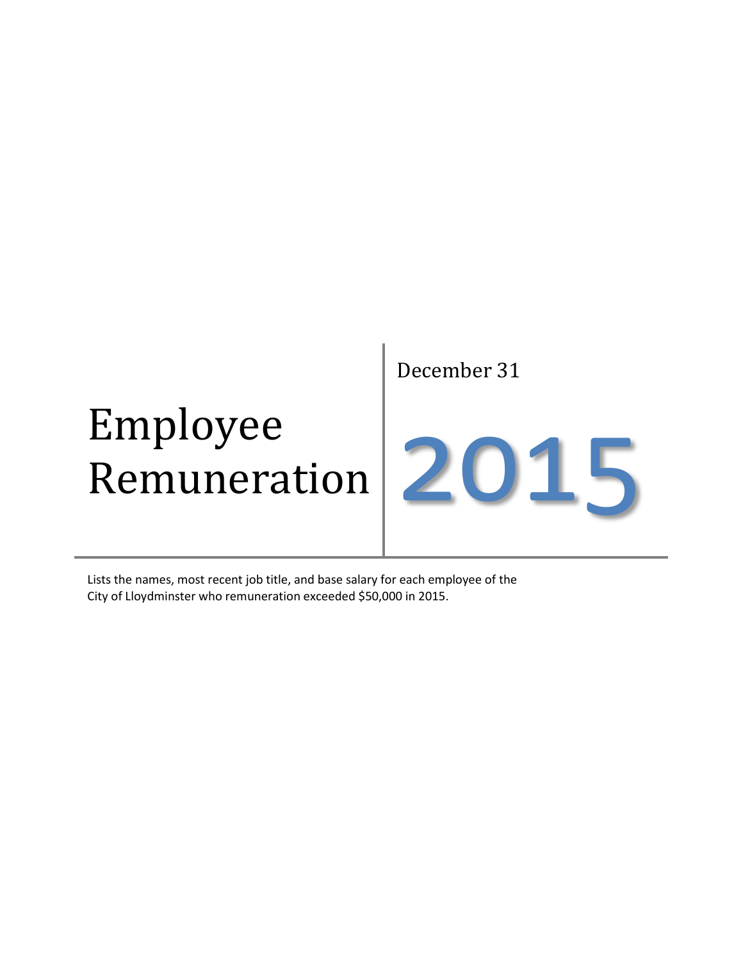### Employee Remuneration

December 31

### 2015

Lists the names, most recent job title, and base salary for each employee of the City of Lloydminster who remuneration exceeded \$50,000 in 2015.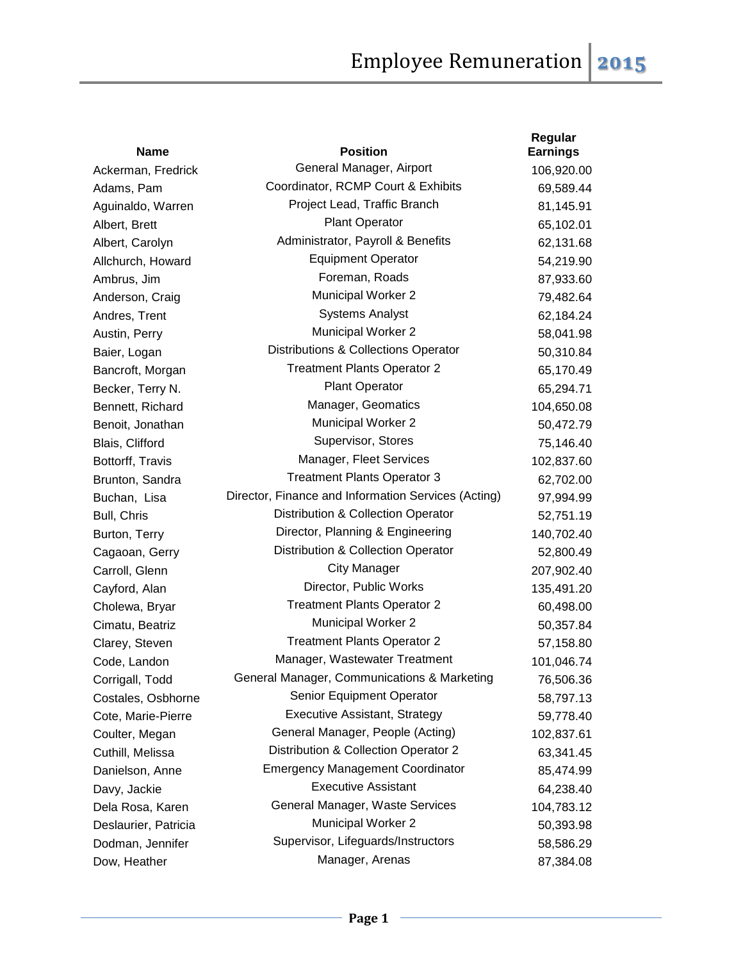| <b>Name</b>          | <b>Position</b>                                     | Regular<br><b>Earnings</b> |
|----------------------|-----------------------------------------------------|----------------------------|
| Ackerman, Fredrick   | General Manager, Airport                            | 106,920.00                 |
| Adams, Pam           | Coordinator, RCMP Court & Exhibits                  | 69,589.44                  |
| Aguinaldo, Warren    | Project Lead, Traffic Branch                        | 81,145.91                  |
| Albert, Brett        | <b>Plant Operator</b>                               | 65,102.01                  |
| Albert, Carolyn      | Administrator, Payroll & Benefits                   | 62,131.68                  |
| Allchurch, Howard    | <b>Equipment Operator</b>                           | 54,219.90                  |
| Ambrus, Jim          | Foreman, Roads                                      | 87,933.60                  |
| Anderson, Craig      | <b>Municipal Worker 2</b>                           | 79,482.64                  |
| Andres, Trent        | <b>Systems Analyst</b>                              | 62,184.24                  |
| Austin, Perry        | <b>Municipal Worker 2</b>                           | 58,041.98                  |
| Baier, Logan         | Distributions & Collections Operator                | 50,310.84                  |
| Bancroft, Morgan     | <b>Treatment Plants Operator 2</b>                  | 65,170.49                  |
| Becker, Terry N.     | <b>Plant Operator</b>                               | 65,294.71                  |
| Bennett, Richard     | Manager, Geomatics                                  | 104,650.08                 |
| Benoit, Jonathan     | <b>Municipal Worker 2</b>                           | 50,472.79                  |
| Blais, Clifford      | Supervisor, Stores                                  | 75,146.40                  |
| Bottorff, Travis     | Manager, Fleet Services                             | 102,837.60                 |
| Brunton, Sandra      | <b>Treatment Plants Operator 3</b>                  | 62,702.00                  |
| Buchan, Lisa         | Director, Finance and Information Services (Acting) | 97,994.99                  |
| Bull, Chris          | Distribution & Collection Operator                  | 52,751.19                  |
| Burton, Terry        | Director, Planning & Engineering                    | 140,702.40                 |
| Cagaoan, Gerry       | Distribution & Collection Operator                  | 52,800.49                  |
| Carroll, Glenn       | <b>City Manager</b>                                 | 207,902.40                 |
| Cayford, Alan        | Director, Public Works                              | 135,491.20                 |
| Cholewa, Bryar       | <b>Treatment Plants Operator 2</b>                  | 60,498.00                  |
| Cimatu, Beatriz      | Municipal Worker 2                                  | 50,357.84                  |
| Clarey, Steven       | <b>Treatment Plants Operator 2</b>                  | 57,158.80                  |
| Code, Landon         | Manager, Wastewater Treatment                       | 101,046.74                 |
| Corrigall, Todd      | General Manager, Communications & Marketing         | 76,506.36                  |
| Costales, Osbhorne   | Senior Equipment Operator                           | 58,797.13                  |
| Cote, Marie-Pierre   | <b>Executive Assistant, Strategy</b>                | 59,778.40                  |
| Coulter, Megan       | General Manager, People (Acting)                    | 102,837.61                 |
| Cuthill, Melissa     | Distribution & Collection Operator 2                | 63,341.45                  |
| Danielson, Anne      | <b>Emergency Management Coordinator</b>             | 85,474.99                  |
| Davy, Jackie         | <b>Executive Assistant</b>                          | 64,238.40                  |
| Dela Rosa, Karen     | General Manager, Waste Services                     | 104,783.12                 |
| Deslaurier, Patricia | <b>Municipal Worker 2</b>                           | 50,393.98                  |
| Dodman, Jennifer     | Supervisor, Lifeguards/Instructors                  | 58,586.29                  |
| Dow, Heather         | Manager, Arenas                                     | 87,384.08                  |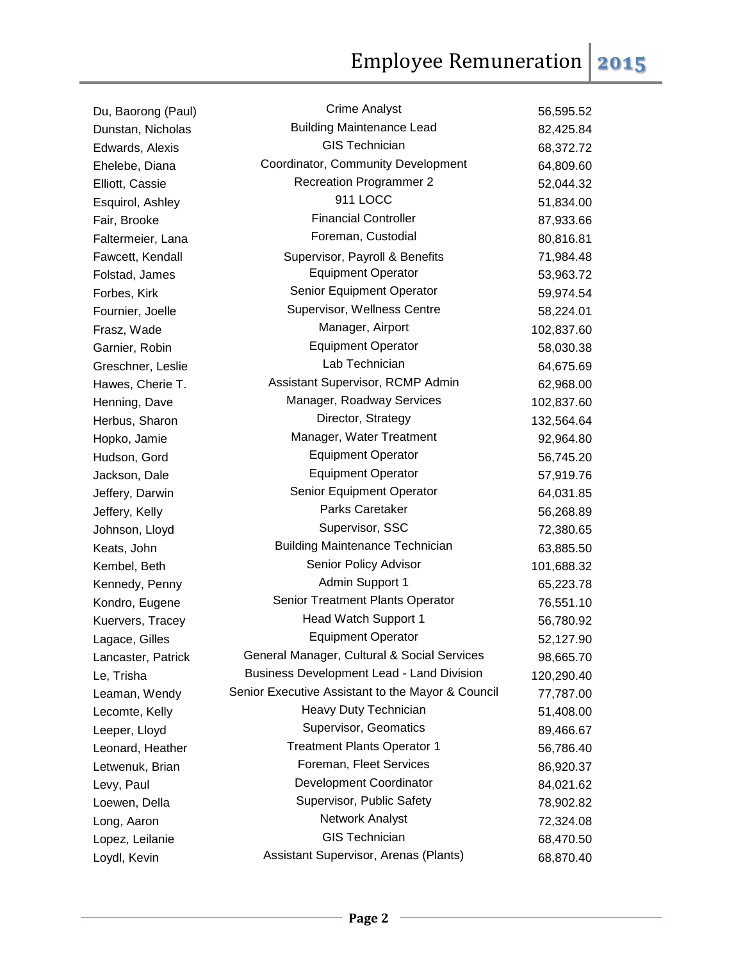| Du, Baorong (Paul) | <b>Crime Analyst</b>                              | 56,595.52  |
|--------------------|---------------------------------------------------|------------|
| Dunstan, Nicholas  | <b>Building Maintenance Lead</b>                  | 82,425.84  |
| Edwards, Alexis    | <b>GIS Technician</b>                             | 68,372.72  |
| Ehelebe, Diana     | Coordinator, Community Development                | 64,809.60  |
| Elliott, Cassie    | <b>Recreation Programmer 2</b>                    | 52,044.32  |
| Esquirol, Ashley   | 911 LOCC                                          | 51,834.00  |
| Fair, Brooke       | <b>Financial Controller</b>                       | 87,933.66  |
| Faltermeier, Lana  | Foreman, Custodial                                | 80,816.81  |
| Fawcett, Kendall   | Supervisor, Payroll & Benefits                    | 71,984.48  |
| Folstad, James     | <b>Equipment Operator</b>                         | 53,963.72  |
| Forbes, Kirk       | Senior Equipment Operator                         | 59,974.54  |
| Fournier, Joelle   | Supervisor, Wellness Centre                       | 58,224.01  |
| Frasz, Wade        | Manager, Airport                                  | 102,837.60 |
| Garnier, Robin     | <b>Equipment Operator</b>                         | 58,030.38  |
| Greschner, Leslie  | Lab Technician                                    | 64,675.69  |
| Hawes, Cherie T.   | Assistant Supervisor, RCMP Admin                  | 62,968.00  |
| Henning, Dave      | Manager, Roadway Services                         | 102,837.60 |
| Herbus, Sharon     | Director, Strategy                                | 132,564.64 |
| Hopko, Jamie       | Manager, Water Treatment                          | 92,964.80  |
| Hudson, Gord       | <b>Equipment Operator</b>                         | 56,745.20  |
| Jackson, Dale      | <b>Equipment Operator</b>                         | 57,919.76  |
| Jeffery, Darwin    | Senior Equipment Operator                         | 64,031.85  |
| Jeffery, Kelly     | Parks Caretaker                                   | 56,268.89  |
| Johnson, Lloyd     | Supervisor, SSC                                   | 72,380.65  |
| Keats, John        | <b>Building Maintenance Technician</b>            | 63,885.50  |
| Kembel, Beth       | Senior Policy Advisor                             | 101,688.32 |
| Kennedy, Penny     | Admin Support 1                                   | 65,223.78  |
| Kondro, Eugene     | Senior Treatment Plants Operator                  | 76,551.10  |
| Kuervers, Tracey   | Head Watch Support 1                              | 56,780.92  |
| Lagace, Gilles     | <b>Equipment Operator</b>                         | 52,127.90  |
| Lancaster, Patrick | General Manager, Cultural & Social Services       | 98,665.70  |
| Le, Trisha         | <b>Business Development Lead - Land Division</b>  | 120,290.40 |
| Leaman, Wendy      | Senior Executive Assistant to the Mayor & Council | 77,787.00  |
| Lecomte, Kelly     | Heavy Duty Technician                             | 51,408.00  |
| Leeper, Lloyd      | Supervisor, Geomatics                             | 89,466.67  |
| Leonard, Heather   | <b>Treatment Plants Operator 1</b>                | 56,786.40  |
| Letwenuk, Brian    | Foreman, Fleet Services                           | 86,920.37  |
| Levy, Paul         | Development Coordinator                           | 84,021.62  |
| Loewen, Della      | Supervisor, Public Safety                         | 78,902.82  |
| Long, Aaron        | Network Analyst                                   | 72,324.08  |
| Lopez, Leilanie    | <b>GIS Technician</b>                             | 68,470.50  |
| Loydl, Kevin       | Assistant Supervisor, Arenas (Plants)             | 68,870.40  |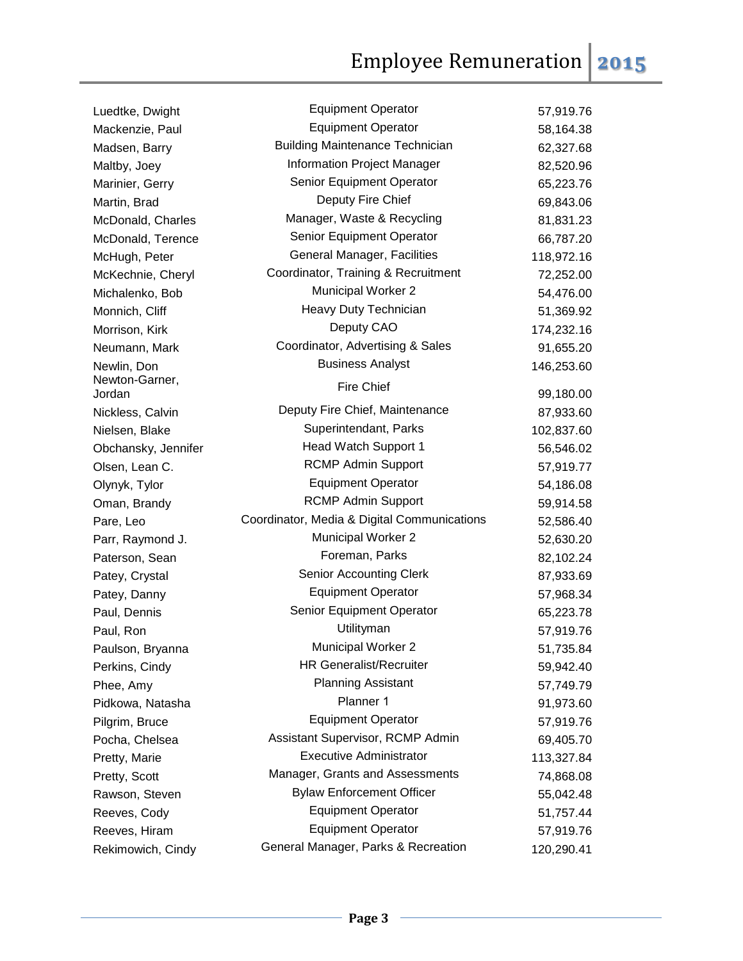| Luedtke, Dwight          | <b>Equipment Operator</b>                   | 57,919.76  |
|--------------------------|---------------------------------------------|------------|
| Mackenzie, Paul          | <b>Equipment Operator</b>                   | 58,164.38  |
| Madsen, Barry            | <b>Building Maintenance Technician</b>      | 62,327.68  |
| Maltby, Joey             | <b>Information Project Manager</b>          | 82,520.96  |
| Marinier, Gerry          | Senior Equipment Operator                   | 65,223.76  |
| Martin, Brad             | Deputy Fire Chief                           | 69,843.06  |
| McDonald, Charles        | Manager, Waste & Recycling                  | 81,831.23  |
| McDonald, Terence        | Senior Equipment Operator                   | 66,787.20  |
| McHugh, Peter            | General Manager, Facilities                 | 118,972.16 |
| McKechnie, Cheryl        | Coordinator, Training & Recruitment         | 72,252.00  |
| Michalenko, Bob          | Municipal Worker 2                          | 54,476.00  |
| Monnich, Cliff           | Heavy Duty Technician                       | 51,369.92  |
| Morrison, Kirk           | Deputy CAO                                  | 174,232.16 |
| Neumann, Mark            | Coordinator, Advertising & Sales            | 91,655.20  |
| Newlin, Don              | <b>Business Analyst</b>                     | 146,253.60 |
| Newton-Garner,<br>Jordan | <b>Fire Chief</b>                           | 99,180.00  |
| Nickless, Calvin         | Deputy Fire Chief, Maintenance              | 87,933.60  |
| Nielsen, Blake           | Superintendant, Parks                       | 102,837.60 |
| Obchansky, Jennifer      | Head Watch Support 1                        | 56,546.02  |
| Olsen, Lean C.           | <b>RCMP Admin Support</b>                   | 57,919.77  |
| Olynyk, Tylor            | <b>Equipment Operator</b>                   | 54,186.08  |
| Oman, Brandy             | <b>RCMP Admin Support</b>                   | 59,914.58  |
| Pare, Leo                | Coordinator, Media & Digital Communications | 52,586.40  |
| Parr, Raymond J.         | <b>Municipal Worker 2</b>                   | 52,630.20  |
| Paterson, Sean           | Foreman, Parks                              | 82,102.24  |
| Patey, Crystal           | <b>Senior Accounting Clerk</b>              | 87,933.69  |
| Patey, Danny             | <b>Equipment Operator</b>                   | 57,968.34  |
| Paul, Dennis             | Senior Equipment Operator                   | 65,223.78  |
| Paul, Ron                | Utilityman                                  | 57,919.76  |
| Paulson, Bryanna         | Municipal Worker 2                          | 51,735.84  |
| Perkins, Cindy           | <b>HR Generalist/Recruiter</b>              | 59,942.40  |
| Phee, Amy                | <b>Planning Assistant</b>                   | 57,749.79  |
| Pidkowa, Natasha         | Planner 1                                   | 91,973.60  |
| Pilgrim, Bruce           | <b>Equipment Operator</b>                   | 57,919.76  |
| Pocha, Chelsea           | Assistant Supervisor, RCMP Admin            | 69,405.70  |
| Pretty, Marie            | <b>Executive Administrator</b>              | 113,327.84 |
| Pretty, Scott            | Manager, Grants and Assessments             | 74,868.08  |
| Rawson, Steven           | <b>Bylaw Enforcement Officer</b>            | 55,042.48  |
| Reeves, Cody             | <b>Equipment Operator</b>                   | 51,757.44  |
| Reeves, Hiram            | <b>Equipment Operator</b>                   | 57,919.76  |
| Rekimowich, Cindy        | General Manager, Parks & Recreation         | 120,290.41 |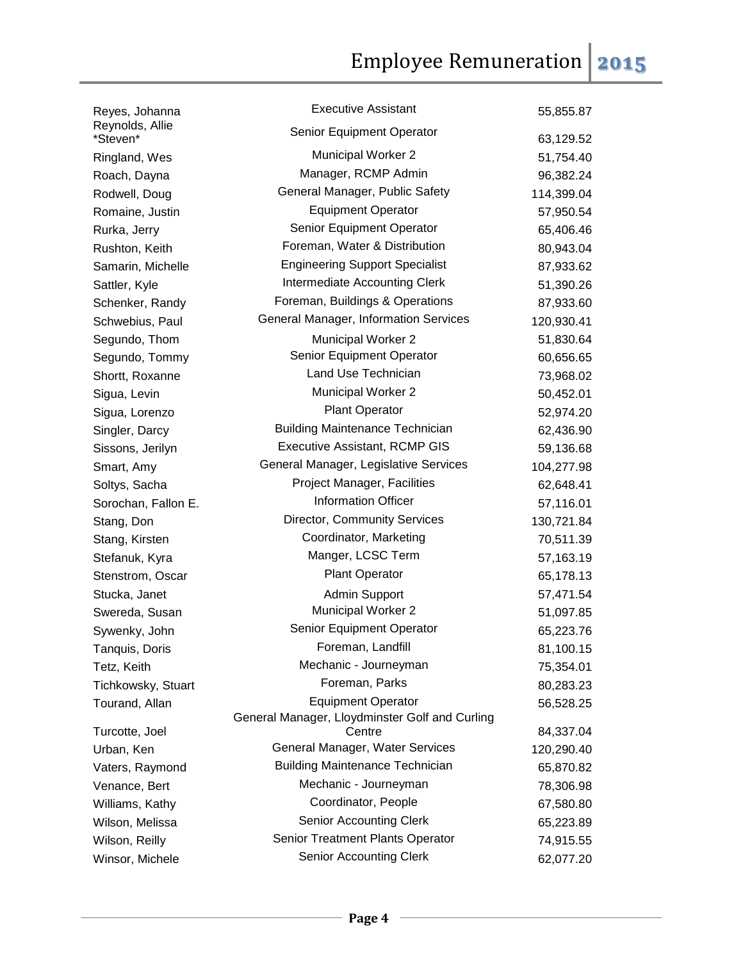| Reyes, Johanna              | <b>Executive Assistant</b>                     | 55,855.87  |
|-----------------------------|------------------------------------------------|------------|
| Reynolds, Allie<br>*Steven* | Senior Equipment Operator                      | 63,129.52  |
| Ringland, Wes               | <b>Municipal Worker 2</b>                      | 51,754.40  |
| Roach, Dayna                | Manager, RCMP Admin                            | 96,382.24  |
| Rodwell, Doug               | General Manager, Public Safety                 | 114,399.04 |
| Romaine, Justin             | <b>Equipment Operator</b>                      | 57,950.54  |
|                             | Senior Equipment Operator                      |            |
| Rurka, Jerry                | Foreman, Water & Distribution                  | 65,406.46  |
| Rushton, Keith              | <b>Engineering Support Specialist</b>          | 80,943.04  |
| Samarin, Michelle           | Intermediate Accounting Clerk                  | 87,933.62  |
| Sattler, Kyle               | Foreman, Buildings & Operations                | 51,390.26  |
| Schenker, Randy             |                                                | 87,933.60  |
| Schwebius, Paul             | General Manager, Information Services          | 120,930.41 |
| Segundo, Thom               | <b>Municipal Worker 2</b>                      | 51,830.64  |
| Segundo, Tommy              | Senior Equipment Operator                      | 60,656.65  |
| Shortt, Roxanne             | Land Use Technician                            | 73,968.02  |
| Sigua, Levin                | <b>Municipal Worker 2</b>                      | 50,452.01  |
| Sigua, Lorenzo              | Plant Operator                                 | 52,974.20  |
| Singler, Darcy              | <b>Building Maintenance Technician</b>         | 62,436.90  |
| Sissons, Jerilyn            | <b>Executive Assistant, RCMP GIS</b>           | 59,136.68  |
| Smart, Amy                  | General Manager, Legislative Services          | 104,277.98 |
| Soltys, Sacha               | Project Manager, Facilities                    | 62,648.41  |
| Sorochan, Fallon E.         | <b>Information Officer</b>                     | 57,116.01  |
| Stang, Don                  | Director, Community Services                   | 130,721.84 |
| Stang, Kirsten              | Coordinator, Marketing                         | 70,511.39  |
| Stefanuk, Kyra              | Manger, LCSC Term                              | 57,163.19  |
| Stenstrom, Oscar            | <b>Plant Operator</b>                          | 65,178.13  |
| Stucka, Janet               | Admin Support                                  | 57,471.54  |
| Swereda, Susan              | Municipal Worker 2                             | 51,097.85  |
| Sywenky, John               | Senior Equipment Operator                      | 65,223.76  |
| Tanquis, Doris              | Foreman, Landfill                              | 81,100.15  |
| Tetz, Keith                 | Mechanic - Journeyman                          | 75,354.01  |
| Tichkowsky, Stuart          | Foreman, Parks                                 | 80,283.23  |
| Tourand, Allan              | <b>Equipment Operator</b>                      | 56,528.25  |
|                             | General Manager, Lloydminster Golf and Curling |            |
| Turcotte, Joel              | Centre                                         | 84,337.04  |
| Urban, Ken                  | General Manager, Water Services                | 120,290.40 |
| Vaters, Raymond             | <b>Building Maintenance Technician</b>         | 65,870.82  |
| Venance, Bert               | Mechanic - Journeyman                          | 78,306.98  |
| Williams, Kathy             | Coordinator, People                            | 67,580.80  |
| Wilson, Melissa             | <b>Senior Accounting Clerk</b>                 | 65,223.89  |
| Wilson, Reilly              | Senior Treatment Plants Operator               | 74,915.55  |
| Winsor, Michele             | <b>Senior Accounting Clerk</b>                 | 62,077.20  |